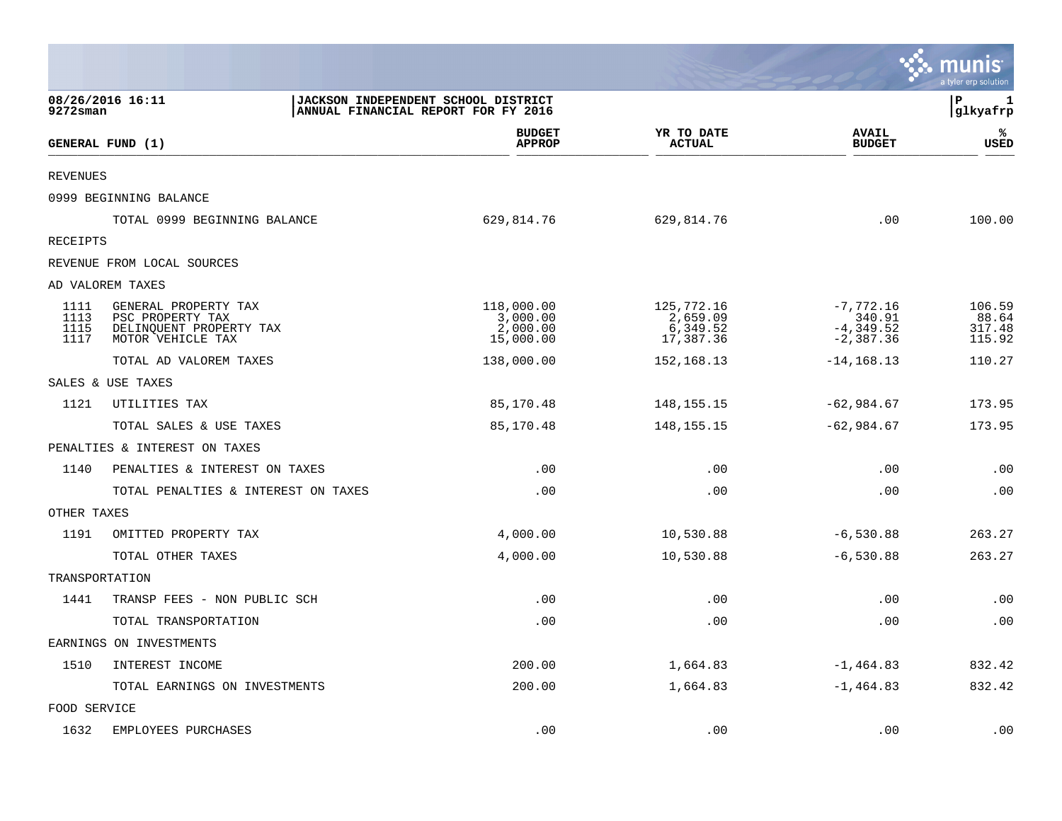|                              |                                                                                          |                                                                            |                                                 |                                                     | munis<br>a tyler erp solution       |
|------------------------------|------------------------------------------------------------------------------------------|----------------------------------------------------------------------------|-------------------------------------------------|-----------------------------------------------------|-------------------------------------|
| 9272sman                     | 08/26/2016 16:11                                                                         | JACKSON INDEPENDENT SCHOOL DISTRICT<br>ANNUAL FINANCIAL REPORT FOR FY 2016 |                                                 |                                                     | ΙP<br>1<br>glkyafrp                 |
|                              | GENERAL FUND (1)                                                                         | <b>BUDGET</b><br><b>APPROP</b>                                             | YR TO DATE<br><b>ACTUAL</b>                     | <b>AVAIL</b><br><b>BUDGET</b>                       | ℁<br>USED                           |
| <b>REVENUES</b>              |                                                                                          |                                                                            |                                                 |                                                     |                                     |
|                              | 0999 BEGINNING BALANCE                                                                   |                                                                            |                                                 |                                                     |                                     |
|                              | TOTAL 0999 BEGINNING BALANCE                                                             | 629,814.76                                                                 | 629,814.76                                      | .00                                                 | 100.00                              |
| RECEIPTS                     |                                                                                          |                                                                            |                                                 |                                                     |                                     |
|                              | REVENUE FROM LOCAL SOURCES                                                               |                                                                            |                                                 |                                                     |                                     |
|                              | AD VALOREM TAXES                                                                         |                                                                            |                                                 |                                                     |                                     |
| 1111<br>1113<br>1115<br>1117 | GENERAL PROPERTY TAX<br>PSC PROPERTY TAX<br>DELINQUENT PROPERTY TAX<br>MOTOR VEHICLE TAX | 118,000.00<br>3,000.00<br>2,000.00<br>15,000.00                            | 125,772.16<br>2,659.09<br>6,349.52<br>17,387.36 | $-7,772.16$<br>340.91<br>$-4,349.52$<br>$-2,387.36$ | 106.59<br>88.64<br>317.48<br>115.92 |
|                              | TOTAL AD VALOREM TAXES                                                                   | 138,000.00                                                                 | 152, 168. 13                                    | $-14, 168.13$                                       | 110.27                              |
|                              | SALES & USE TAXES                                                                        |                                                                            |                                                 |                                                     |                                     |
| 1121                         | UTILITIES TAX                                                                            | 85,170.48                                                                  | 148, 155. 15                                    | $-62,984.67$                                        | 173.95                              |
|                              | TOTAL SALES & USE TAXES                                                                  | 85,170.48                                                                  | 148, 155. 15                                    | $-62,984.67$                                        | 173.95                              |
|                              | PENALTIES & INTEREST ON TAXES                                                            |                                                                            |                                                 |                                                     |                                     |
| 1140                         | PENALTIES & INTEREST ON TAXES                                                            | .00                                                                        | .00                                             | .00                                                 | .00                                 |
|                              | TOTAL PENALTIES & INTEREST ON TAXES                                                      | .00                                                                        | .00                                             | .00                                                 | .00                                 |
| OTHER TAXES                  |                                                                                          |                                                                            |                                                 |                                                     |                                     |
| 1191                         | OMITTED PROPERTY TAX                                                                     | 4,000.00                                                                   | 10,530.88                                       | $-6,530.88$                                         | 263.27                              |
|                              | TOTAL OTHER TAXES                                                                        | 4,000.00                                                                   | 10,530.88                                       | $-6,530.88$                                         | 263.27                              |
| TRANSPORTATION               |                                                                                          |                                                                            |                                                 |                                                     |                                     |
| 1441                         | TRANSP FEES - NON PUBLIC SCH                                                             | .00                                                                        | .00                                             | .00                                                 | .00                                 |
|                              | TOTAL TRANSPORTATION                                                                     | .00                                                                        | .00                                             | .00                                                 | .00                                 |
|                              | EARNINGS ON INVESTMENTS                                                                  |                                                                            |                                                 |                                                     |                                     |
| 1510                         | INTEREST INCOME                                                                          | 200.00                                                                     | 1,664.83                                        | $-1,464.83$                                         | 832.42                              |
|                              | TOTAL EARNINGS ON INVESTMENTS                                                            | 200.00                                                                     | 1,664.83                                        | $-1,464.83$                                         | 832.42                              |
| FOOD SERVICE                 |                                                                                          |                                                                            |                                                 |                                                     |                                     |
| 1632                         | EMPLOYEES PURCHASES                                                                      | .00                                                                        | .00                                             | .00                                                 | .00                                 |

**Contract**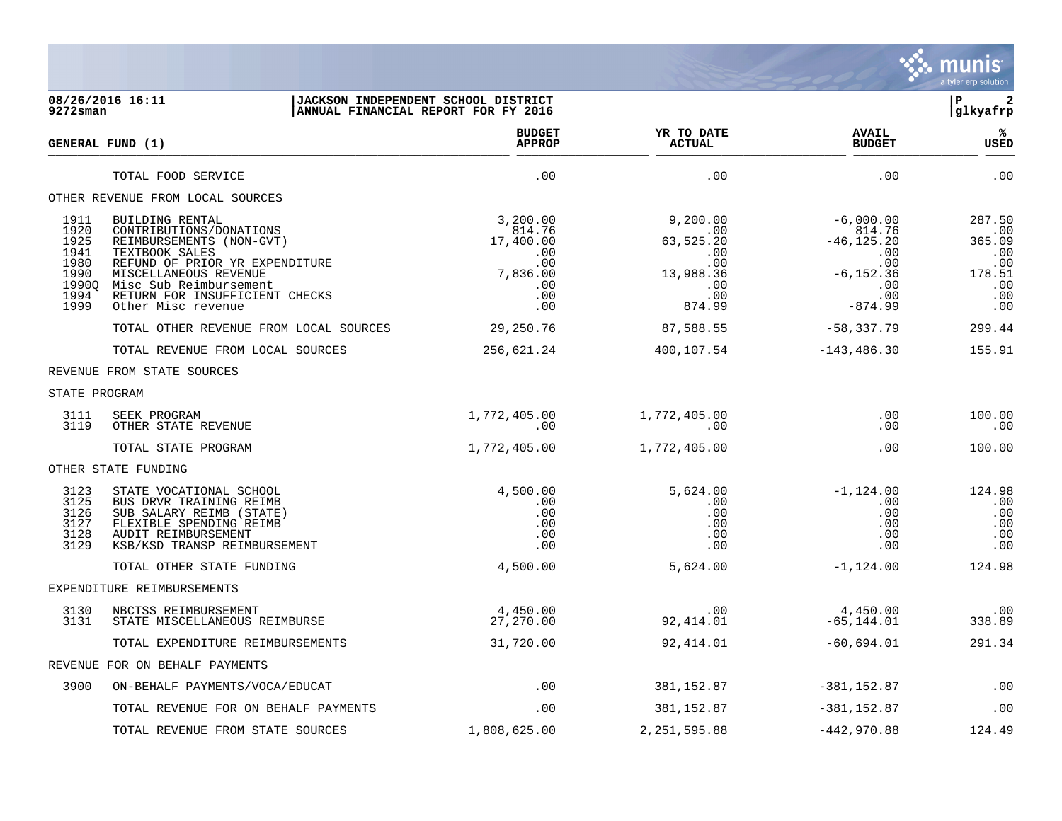

## **08/26/2016 16:11 |JACKSON INDEPENDENT SCHOOL DISTRICT |P 2 9272sman |ANNUAL FINANCIAL REPORT FOR FY 2016 |glkyafrp**

| GENERAL FUND (1)                                                      |                                                                                                                                                                                                                                       | <b>BUDGET</b><br><b>APPROP</b>                                                 | YR TO DATE<br><b>ACTUAL</b>                                                     | <b>AVAIL</b><br><b>BUDGET</b>                                                                   | %ะ<br><b>USED</b>                                                    |
|-----------------------------------------------------------------------|---------------------------------------------------------------------------------------------------------------------------------------------------------------------------------------------------------------------------------------|--------------------------------------------------------------------------------|---------------------------------------------------------------------------------|-------------------------------------------------------------------------------------------------|----------------------------------------------------------------------|
|                                                                       | TOTAL FOOD SERVICE                                                                                                                                                                                                                    | .00                                                                            | .00                                                                             | .00                                                                                             | .00                                                                  |
|                                                                       | OTHER REVENUE FROM LOCAL SOURCES                                                                                                                                                                                                      |                                                                                |                                                                                 |                                                                                                 |                                                                      |
| 1911<br>1920<br>1925<br>1941<br>1980<br>1990<br>19900<br>1994<br>1999 | BUILDING RENTAL<br>CONTRIBUTIONS/DONATIONS<br>REIMBURSEMENTS (NON-GVT)<br>TEXTBOOK SALES<br>REFUND OF PRIOR YR EXPENDITURE<br>MISCELLANEOUS REVENUE<br>Misc Sub Reimbursement<br>RETURN FOR INSUFFICIENT CHECKS<br>Other Misc revenue | 3,200.00<br>814.76<br>17,400.00<br>.00<br>.00<br>7,836.00<br>.00<br>.00<br>.00 | 9,200.00<br>.00<br>63,525.20<br>.00<br>.00<br>13,988.36<br>.00<br>.00<br>874.99 | $-6,000.00$<br>814.76<br>$-46, 125.20$<br>.00<br>.00<br>$-6, 152.36$<br>.00<br>.00<br>$-874.99$ | 287.50<br>.00<br>365.09<br>.00<br>.00<br>178.51<br>.00<br>.00<br>.00 |
|                                                                       | TOTAL OTHER REVENUE FROM LOCAL SOURCES                                                                                                                                                                                                | 29,250.76                                                                      | 87,588.55                                                                       | -58,337.79                                                                                      | 299.44                                                               |
|                                                                       | TOTAL REVENUE FROM LOCAL SOURCES                                                                                                                                                                                                      | 256,621.24                                                                     | 400,107.54                                                                      | $-143, 486.30$                                                                                  | 155.91                                                               |
|                                                                       | REVENUE FROM STATE SOURCES                                                                                                                                                                                                            |                                                                                |                                                                                 |                                                                                                 |                                                                      |
| STATE PROGRAM                                                         |                                                                                                                                                                                                                                       |                                                                                |                                                                                 |                                                                                                 |                                                                      |
| 3111<br>3119                                                          | SEEK PROGRAM<br>OTHER STATE REVENUE                                                                                                                                                                                                   | 1,772,405.00<br>.00                                                            | 1,772,405.00<br>.00                                                             | .00<br>.00                                                                                      | 100.00<br>.00                                                        |
|                                                                       | TOTAL STATE PROGRAM                                                                                                                                                                                                                   | 1,772,405.00                                                                   | 1,772,405.00                                                                    | .00                                                                                             | 100.00                                                               |
|                                                                       | OTHER STATE FUNDING                                                                                                                                                                                                                   |                                                                                |                                                                                 |                                                                                                 |                                                                      |
| 3123<br>3125<br>3126<br>3127<br>3128<br>3129                          | STATE VOCATIONAL SCHOOL<br>BUS DRVR TRAINING REIMB<br>SUB SALARY REIMB (STATE)<br>FLEXIBLE SPENDING REIMB<br>AUDIT REIMBURSEMENT<br>KSB/KSD TRANSP REIMBURSEMENT                                                                      | 4,500.00<br>.00<br>.00<br>.00<br>.00<br>.00                                    | 5,624.00<br>.00<br>.00<br>.00<br>.00<br>.00                                     | $-1,124.00$<br>.00<br>.00<br>.00<br>.00<br>.00                                                  | 124.98<br>.00<br>.00<br>.00<br>.00<br>.00                            |
|                                                                       | TOTAL OTHER STATE FUNDING                                                                                                                                                                                                             | 4,500.00                                                                       | 5,624.00                                                                        | $-1,124.00$                                                                                     | 124.98                                                               |
|                                                                       | EXPENDITURE REIMBURSEMENTS                                                                                                                                                                                                            |                                                                                |                                                                                 |                                                                                                 |                                                                      |
| 3130<br>3131                                                          | NBCTSS REIMBURSEMENT<br>STATE MISCELLANEOUS REIMBURSE                                                                                                                                                                                 | 4,450.00<br>27,270.00                                                          | $.00 \,$<br>92,414.01                                                           | 4,450.00<br>$-65, 144.01$                                                                       | .00<br>338.89                                                        |
|                                                                       | TOTAL EXPENDITURE REIMBURSEMENTS                                                                                                                                                                                                      | 31,720.00                                                                      | 92,414.01                                                                       | $-60,694.01$                                                                                    | 291.34                                                               |
|                                                                       | REVENUE FOR ON BEHALF PAYMENTS                                                                                                                                                                                                        |                                                                                |                                                                                 |                                                                                                 |                                                                      |
| 3900                                                                  | ON-BEHALF PAYMENTS/VOCA/EDUCAT                                                                                                                                                                                                        | .00                                                                            | 381,152.87                                                                      | $-381, 152.87$                                                                                  | .00                                                                  |
|                                                                       | TOTAL REVENUE FOR ON BEHALF PAYMENTS                                                                                                                                                                                                  | .00                                                                            | 381, 152.87                                                                     | $-381, 152.87$                                                                                  | .00                                                                  |
|                                                                       | TOTAL REVENUE FROM STATE SOURCES                                                                                                                                                                                                      | 1,808,625.00                                                                   | 2, 251, 595.88                                                                  | $-442,970.88$                                                                                   | 124.49                                                               |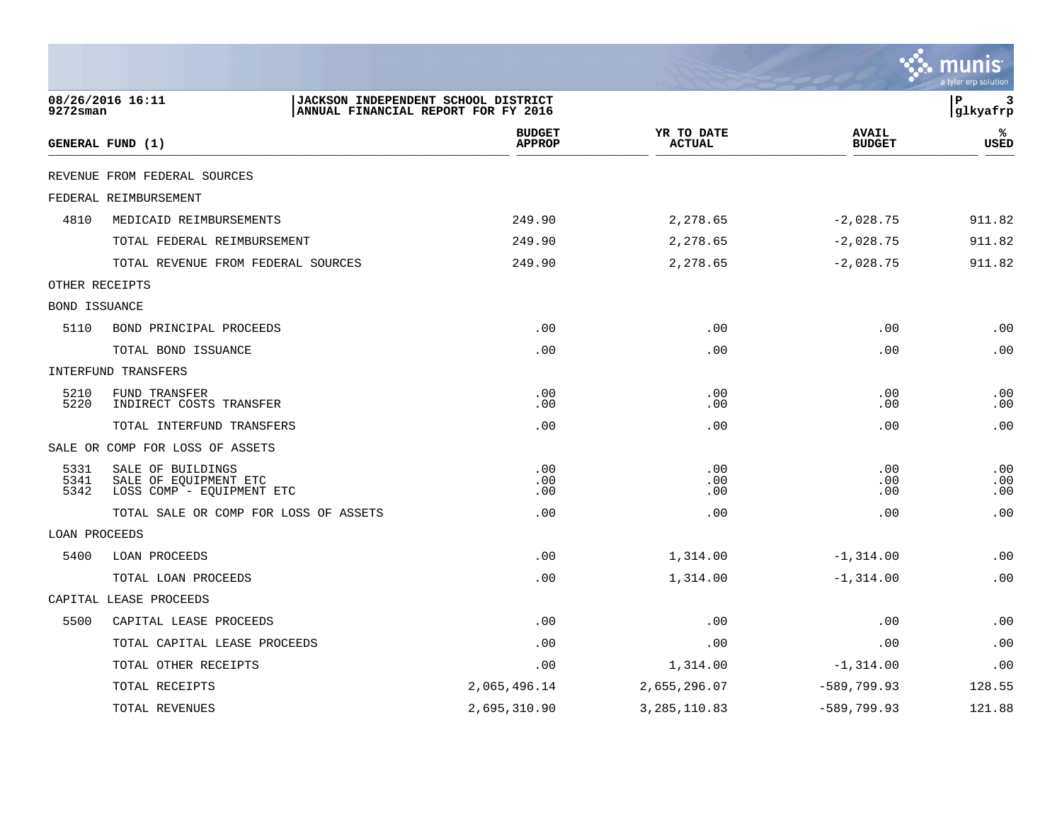|                      |                                                                         |                                                                            |                                |                             |                               | a tyler erp solution |
|----------------------|-------------------------------------------------------------------------|----------------------------------------------------------------------------|--------------------------------|-----------------------------|-------------------------------|----------------------|
| $9272$ sman          | 08/26/2016 16:11                                                        | JACKSON INDEPENDENT SCHOOL DISTRICT<br>ANNUAL FINANCIAL REPORT FOR FY 2016 |                                |                             |                               | l P<br>3<br>glkyafrp |
|                      | GENERAL FUND (1)                                                        |                                                                            | <b>BUDGET</b><br><b>APPROP</b> | YR TO DATE<br><b>ACTUAL</b> | <b>AVAIL</b><br><b>BUDGET</b> | ℁<br><b>USED</b>     |
|                      | REVENUE FROM FEDERAL SOURCES                                            |                                                                            |                                |                             |                               |                      |
|                      | FEDERAL REIMBURSEMENT                                                   |                                                                            |                                |                             |                               |                      |
| 4810                 | MEDICAID REIMBURSEMENTS                                                 |                                                                            | 249.90                         | 2,278.65                    | $-2,028.75$                   | 911.82               |
|                      | TOTAL FEDERAL REIMBURSEMENT                                             |                                                                            | 249.90                         | 2,278.65                    | $-2,028.75$                   | 911.82               |
|                      | TOTAL REVENUE FROM FEDERAL SOURCES                                      |                                                                            | 249.90                         | 2,278.65                    | $-2,028.75$                   | 911.82               |
|                      | OTHER RECEIPTS                                                          |                                                                            |                                |                             |                               |                      |
| <b>BOND ISSUANCE</b> |                                                                         |                                                                            |                                |                             |                               |                      |
| 5110                 | BOND PRINCIPAL PROCEEDS                                                 |                                                                            | .00                            | .00                         | .00                           | .00                  |
|                      | TOTAL BOND ISSUANCE                                                     |                                                                            | .00                            | .00                         | .00                           | .00                  |
|                      | INTERFUND TRANSFERS                                                     |                                                                            |                                |                             |                               |                      |
| 5210<br>5220         | FUND TRANSFER<br>INDIRECT COSTS TRANSFER                                |                                                                            | .00<br>.00                     | .00<br>.00                  | .00<br>.00                    | .00<br>.00           |
|                      | TOTAL INTERFUND TRANSFERS                                               |                                                                            | .00                            | .00                         | .00                           | .00                  |
|                      | SALE OR COMP FOR LOSS OF ASSETS                                         |                                                                            |                                |                             |                               |                      |
| 5331<br>5341<br>5342 | SALE OF BUILDINGS<br>SALE OF EQUIPMENT ETC<br>LOSS COMP - EQUIPMENT ETC |                                                                            | .00<br>.00<br>.00              | .00<br>.00<br>.00           | .00<br>.00<br>.00             | .00<br>.00<br>.00    |
|                      | TOTAL SALE OR COMP FOR LOSS OF ASSETS                                   |                                                                            | .00                            | .00                         | .00                           | .00                  |
| LOAN PROCEEDS        |                                                                         |                                                                            |                                |                             |                               |                      |
| 5400                 | <b>LOAN PROCEEDS</b>                                                    |                                                                            | .00                            | 1,314.00                    | $-1,314.00$                   | .00                  |
|                      | TOTAL LOAN PROCEEDS                                                     |                                                                            | .00                            | 1,314.00                    | $-1, 314.00$                  | .00                  |
|                      | CAPITAL LEASE PROCEEDS                                                  |                                                                            |                                |                             |                               |                      |
| 5500                 | CAPITAL LEASE PROCEEDS                                                  |                                                                            | .00                            | .00                         | .00                           | .00                  |
|                      | TOTAL CAPITAL LEASE PROCEEDS                                            |                                                                            | .00                            | .00                         | .00                           | .00                  |
|                      | TOTAL OTHER RECEIPTS                                                    |                                                                            | .00                            | 1,314.00                    | $-1,314.00$                   | .00                  |
|                      | TOTAL RECEIPTS                                                          |                                                                            | 2,065,496.14                   | 2,655,296.07                | $-589,799.93$                 | 128.55               |
|                      | TOTAL REVENUES                                                          |                                                                            | 2,695,310.90                   | 3, 285, 110.83              | $-589,799.93$                 | 121.88               |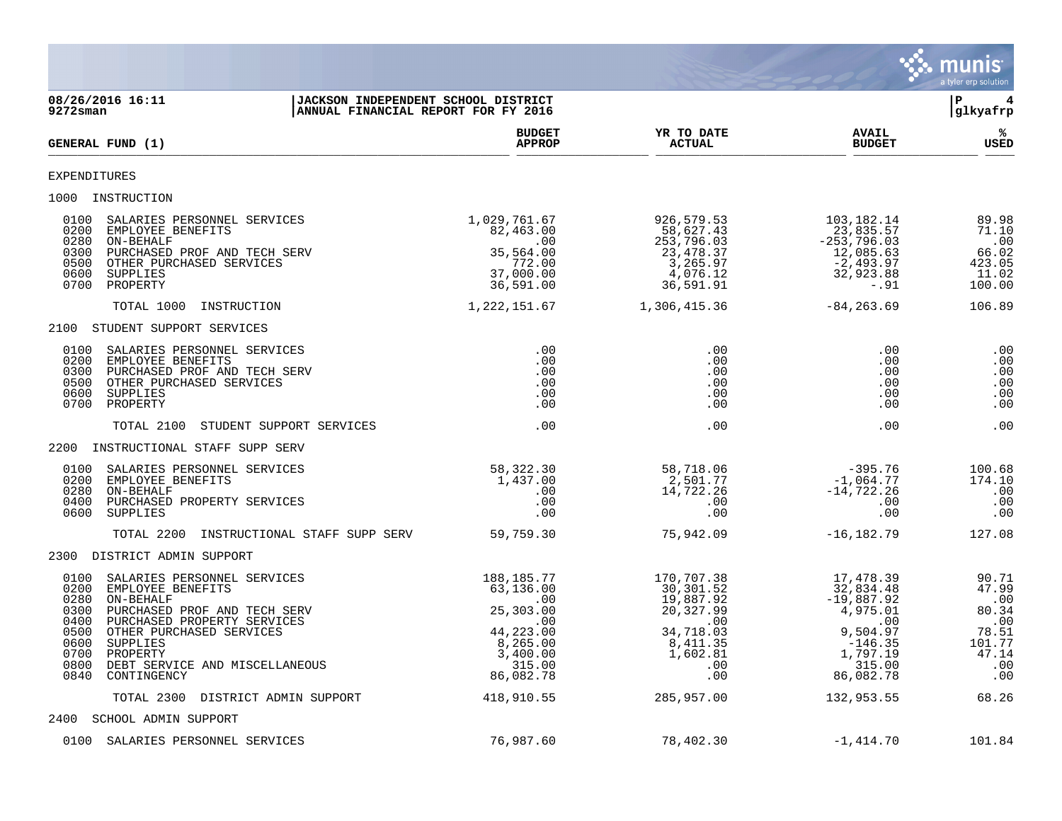|                                                                                                                                                                                                                                                                                                                                                     |                                                                                                                              |                                                                                                                           |                                                                                                                                     | munis<br>a tyler erp solution                                                            |
|-----------------------------------------------------------------------------------------------------------------------------------------------------------------------------------------------------------------------------------------------------------------------------------------------------------------------------------------------------|------------------------------------------------------------------------------------------------------------------------------|---------------------------------------------------------------------------------------------------------------------------|-------------------------------------------------------------------------------------------------------------------------------------|------------------------------------------------------------------------------------------|
| 08/26/2016 16:11<br>JACKSON INDEPENDENT SCHOOL DISTRICT<br>9272sman<br>ANNUAL FINANCIAL REPORT FOR FY 2016                                                                                                                                                                                                                                          |                                                                                                                              |                                                                                                                           |                                                                                                                                     | ΙP<br> glkyafrp                                                                          |
| GENERAL FUND (1)                                                                                                                                                                                                                                                                                                                                    | <b>BUDGET</b><br><b>APPROP</b>                                                                                               | YR TO DATE<br><b>ACTUAL</b>                                                                                               | <b>AVAIL</b><br><b>BUDGET</b>                                                                                                       | ℁<br>USED                                                                                |
| EXPENDITURES                                                                                                                                                                                                                                                                                                                                        |                                                                                                                              |                                                                                                                           |                                                                                                                                     |                                                                                          |
| 1000<br>INSTRUCTION                                                                                                                                                                                                                                                                                                                                 |                                                                                                                              |                                                                                                                           |                                                                                                                                     |                                                                                          |
| 0100<br>SALARIES PERSONNEL SERVICES<br>0200<br>EMPLOYEE BENEFITS<br>0280<br>ON-BEHALF<br>0300<br>PURCHASED PROF AND TECH SERV<br>0500<br>OTHER PURCHASED SERVICES<br>0600<br>SUPPLIES<br>0700<br>PROPERTY                                                                                                                                           | 1,029,761.67<br>82,463.00<br>.00<br>35,564.00<br>772.00<br>37,000.00<br>36,591.00                                            | 926,579.53<br>58,627.43<br>253,796.03<br>23,478.37<br>3,265.97<br>4,076.12<br>36,591.91                                   | 103,182.14<br>23,835.57<br>$-253,796.03$<br>12,085.63<br>$-2,493.97$<br>32,923.88<br>-.91                                           | 89.98<br>71.10<br>.00<br>66.02<br>423.05<br>11.02<br>100.00                              |
| TOTAL 1000<br>INSTRUCTION                                                                                                                                                                                                                                                                                                                           | 1,222,151.67                                                                                                                 | 1,306,415.36                                                                                                              | $-84, 263.69$                                                                                                                       | 106.89                                                                                   |
| 2100 STUDENT SUPPORT SERVICES                                                                                                                                                                                                                                                                                                                       |                                                                                                                              |                                                                                                                           |                                                                                                                                     |                                                                                          |
| 0100<br>SALARIES PERSONNEL SERVICES<br>0200<br>EMPLOYEE BENEFITS<br>0300<br>PURCHASED PROF AND TECH SERV<br>0500<br>OTHER PURCHASED SERVICES<br>0600<br>SUPPLIES<br>0700<br>PROPERTY                                                                                                                                                                | .00<br>.00<br>.00<br>.00<br>.00<br>.00                                                                                       | .00<br>.00<br>.00<br>.00<br>.00<br>.00                                                                                    | .00<br>.00<br>.00<br>.00<br>.00<br>.00                                                                                              | .00<br>.00<br>.00<br>.00<br>.00<br>.00                                                   |
| TOTAL 2100<br>STUDENT SUPPORT SERVICES                                                                                                                                                                                                                                                                                                              | .00                                                                                                                          | .00                                                                                                                       | .00                                                                                                                                 | .00                                                                                      |
| 2200<br>INSTRUCTIONAL STAFF SUPP SERV                                                                                                                                                                                                                                                                                                               |                                                                                                                              |                                                                                                                           |                                                                                                                                     |                                                                                          |
| 0100<br>SALARIES PERSONNEL SERVICES<br>0200<br>EMPLOYEE BENEFITS<br>0280<br>ON-BEHALF<br>0400<br>PURCHASED PROPERTY SERVICES<br>0600<br>SUPPLIES                                                                                                                                                                                                    | 58, 322.30<br>1,437.00<br>.00<br>.00<br>.00                                                                                  | 58,718.06<br>2,501.77<br>14,722.26<br>.00<br>.00                                                                          | $-395.76$<br>$-1,064.77$<br>$-14, 722.26$<br>.00<br>.00                                                                             | 100.68<br>174.10<br>.00<br>.00<br>.00                                                    |
| TOTAL 2200<br>INSTRUCTIONAL STAFF SUPP SERV                                                                                                                                                                                                                                                                                                         | 59,759.30                                                                                                                    | 75,942.09                                                                                                                 | $-16, 182.79$                                                                                                                       | 127.08                                                                                   |
| 2300<br>DISTRICT ADMIN SUPPORT                                                                                                                                                                                                                                                                                                                      |                                                                                                                              |                                                                                                                           |                                                                                                                                     |                                                                                          |
| 0100<br>SALARIES PERSONNEL SERVICES<br>0200<br>EMPLOYEE BENEFITS<br>0280<br>ON-BEHALF<br>0300<br>PURCHASED PROF AND TECH SERV<br>0400<br>PURCHASED PROPERTY SERVICES<br>0500<br>OTHER PURCHASED SERVICES<br>0600 SUPPLIES<br>0700 PROPERTY<br>0800<br>DEBT SERVICE AND MISCELLANEOUS<br>0840<br>CONTINGENCY<br>TOTAL 2300<br>DISTRICT ADMIN SUPPORT | 188,185.77<br>63,136.00<br>.00<br>25,303.00<br>.00<br>44,223.00<br>8,265.00<br>3,400.00<br>315.00<br>86,082.78<br>418,910.55 | 170,707.38<br>30,301.52<br>19,887.92<br>20,327.99<br>.00<br>34,718.03<br>8,411.35<br>1,602.81<br>.00<br>.00<br>285,957.00 | 17,478.39<br>32,834.48<br>$-19,887.92$<br>4,975.01<br>.00<br>9,504.97<br>$-146.35$<br>1,797.19<br>315.00<br>86,082.78<br>132,953.55 | 90.71<br>47.99<br>.00<br>80.34<br>.00<br>78.51<br>101.77<br>47.14<br>.00<br>.00<br>68.26 |
| 2400 SCHOOL ADMIN SUPPORT                                                                                                                                                                                                                                                                                                                           |                                                                                                                              |                                                                                                                           |                                                                                                                                     |                                                                                          |
| 0100 SALARIES PERSONNEL SERVICES                                                                                                                                                                                                                                                                                                                    | 76,987.60                                                                                                                    | 78,402.30                                                                                                                 | $-1,414.70$                                                                                                                         | 101.84                                                                                   |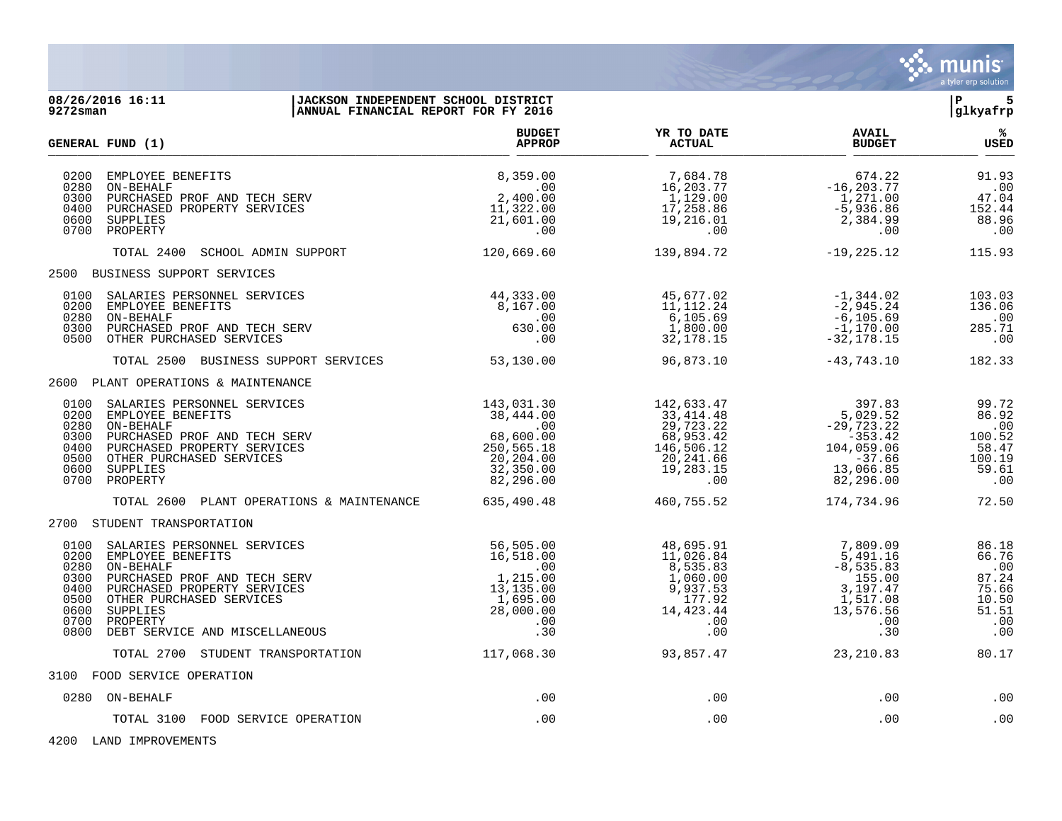

| 9272sman                                                             | 08/26/2016 16:11<br>JACKSON INDEPENDENT SCHOOL DISTRICT<br>ANNUAL FINANCIAL REPORT FOR FY 2016                                                                                                                                                                        |                                                                                               |                                                                                                  |                                                                                                                   | 5<br>l P<br>glkyafrp                                                    |
|----------------------------------------------------------------------|-----------------------------------------------------------------------------------------------------------------------------------------------------------------------------------------------------------------------------------------------------------------------|-----------------------------------------------------------------------------------------------|--------------------------------------------------------------------------------------------------|-------------------------------------------------------------------------------------------------------------------|-------------------------------------------------------------------------|
|                                                                      | <b>GENERAL FUND (1)</b>                                                                                                                                                                                                                                               | <b>BUDGET</b><br><b>APPROP</b>                                                                | YR TO DATE<br><b>ACTUAL</b>                                                                      | <b>AVAIL</b><br><b>BUDGET</b>                                                                                     | %<br><b>USED</b>                                                        |
| 0200<br>0280<br>0300<br>0400<br>0600<br>0700                         | EMPLOYEE BENEFITS<br>ON-BEHALF<br>PURCHASED PROF AND TECH SERV<br>PURCHASED PROPERTY SERVICES<br>SUPPLIES<br>PROPERTY                                                                                                                                                 | 8,359.00<br>.00<br>2,400.00<br>11,322.00<br>21,601.00<br>.00                                  | 7,684.78<br>16,203.77<br>1,129.00<br>17,258.86<br>19,216.01<br>.00                               | 674.22<br>$-16, 203.77$<br>1,271.00<br>$-5,936.86$<br>2,384.99<br>.00                                             | 91.93<br>$\cdot$ 00<br>47.04<br>152.44<br>88.96<br>.00                  |
|                                                                      | SCHOOL ADMIN SUPPORT<br>TOTAL 2400                                                                                                                                                                                                                                    | 120,669.60                                                                                    | 139,894.72                                                                                       | $-19,225.12$                                                                                                      | 115.93                                                                  |
|                                                                      | 2500 BUSINESS SUPPORT SERVICES                                                                                                                                                                                                                                        |                                                                                               |                                                                                                  |                                                                                                                   |                                                                         |
| 0200<br>0280<br>0300<br>0500                                         | 0100 SALARIES PERSONNEL SERVICES<br>EMPLOYEE BENEFITS<br>ON-BEHALF<br>PURCHASED PROF AND TECH SERV<br>OTHER PURCHASED SERVICES                                                                                                                                        | 44,333.00<br>8,167.00<br>$\overline{\phantom{0}}$ .00<br>630.00<br>.00                        | 45,677.02<br>$11, 112.24$<br>6,105.69<br>1,800.00<br>32, 178. 15                                 | -1,344.02<br>$-2,945.24$<br>$-6, 105.69$<br>$-1,170.00$<br>$-32, 178.15$                                          | 103.03<br>136.06<br>.00<br>285.71<br>.00                                |
|                                                                      | TOTAL 2500 BUSINESS SUPPORT SERVICES                                                                                                                                                                                                                                  | 53,130.00                                                                                     | 96,873.10                                                                                        | -43,743.10                                                                                                        | 182.33                                                                  |
|                                                                      | 2600 PLANT OPERATIONS & MAINTENANCE                                                                                                                                                                                                                                   |                                                                                               |                                                                                                  |                                                                                                                   |                                                                         |
| 0200<br>0280<br>0300<br>0400<br>0500<br>0600                         | 0100 SALARIES PERSONNEL SERVICES<br>EMPLOYEE BENEFITS<br>ON-BEHALF<br>$\begin{array}{c} .00 \ 68,600.00 \ 250,565.18 \ 20,204.00 \end{array}$<br>PURCHASED PROF AND TECH SERV<br>PURCHASED PROPERTY SERVICES<br>OTHER PURCHASED SERVICES<br>SUPPLIES<br>0700 PROPERTY | 143,031.30<br>38,444.00<br>.00<br>32,350.00<br>82,296.00                                      | 142,633.47<br>33,414.48<br>29,723.22<br>68,953.42<br>146,506.12<br>20,241.66<br>19,283.15<br>.00 | 397.83<br>5,029.52<br>$-29,723.22$<br>$-353.42$<br>104,059.06<br>$-37.66$<br>13,066.85<br>82,296.00               | 99.72<br>86.92<br>.00<br>100.52<br>58.47<br>100.19<br>59.61<br>.00      |
|                                                                      | TOTAL 2600 PLANT OPERATIONS & MAINTENANCE 635,490.48                                                                                                                                                                                                                  |                                                                                               | 460,755.52                                                                                       | 174,734.96                                                                                                        | 72.50                                                                   |
|                                                                      | 2700 STUDENT TRANSPORTATION                                                                                                                                                                                                                                           |                                                                                               |                                                                                                  |                                                                                                                   |                                                                         |
| 0100<br>0200<br>0280<br>0300<br>0400<br>0500<br>0600<br>0700<br>0800 | SALARIES PERSONNEL SERVICES<br>EMPLOYEE BENEFITS<br>ON-BEHALF<br>PURCHASED PROF AND TECH SERV<br>PURCHASED PROPERTY SERVICES<br>OTHER PURCHASED SERVICES<br>SUPPLIES<br>PROPERTY<br>DEBT SERVICE AND MISCELLANEOUS                                                    | 56,505.00<br>16,518.00<br>.00<br>1,215.00<br>13,135.00<br>1,695.00<br>28,000.00<br>.00<br>.30 | 48,695.91<br>11,026.84<br>8,535.83<br>1,060.00<br>9,937.53<br>177.92<br>14, 423.44<br>.00        | 7,809.09<br>$5,491.16$<br>$-8,535.83$<br>$-8,535.83$<br>155.00<br>3,197.47<br>1,517.08<br>13,576.56<br>.00<br>.30 | 86.18<br>66.76<br>.00<br>87.24<br>75.66<br>10.50<br>51.51<br>.00<br>.00 |
|                                                                      | TOTAL 2700 STUDENT TRANSPORTATION                                                                                                                                                                                                                                     | 117,068.30                                                                                    | 93,857.47                                                                                        | 23, 210.83                                                                                                        | 80.17                                                                   |
|                                                                      | 3100 FOOD SERVICE OPERATION                                                                                                                                                                                                                                           |                                                                                               |                                                                                                  |                                                                                                                   |                                                                         |
|                                                                      | 0280 ON-BEHALF                                                                                                                                                                                                                                                        | .00                                                                                           | .00                                                                                              | .00                                                                                                               | .00                                                                     |
|                                                                      | TOTAL 3100 FOOD SERVICE OPERATION                                                                                                                                                                                                                                     | .00                                                                                           | .00                                                                                              | .00                                                                                                               | .00                                                                     |

4200 LAND IMPROVEMENTS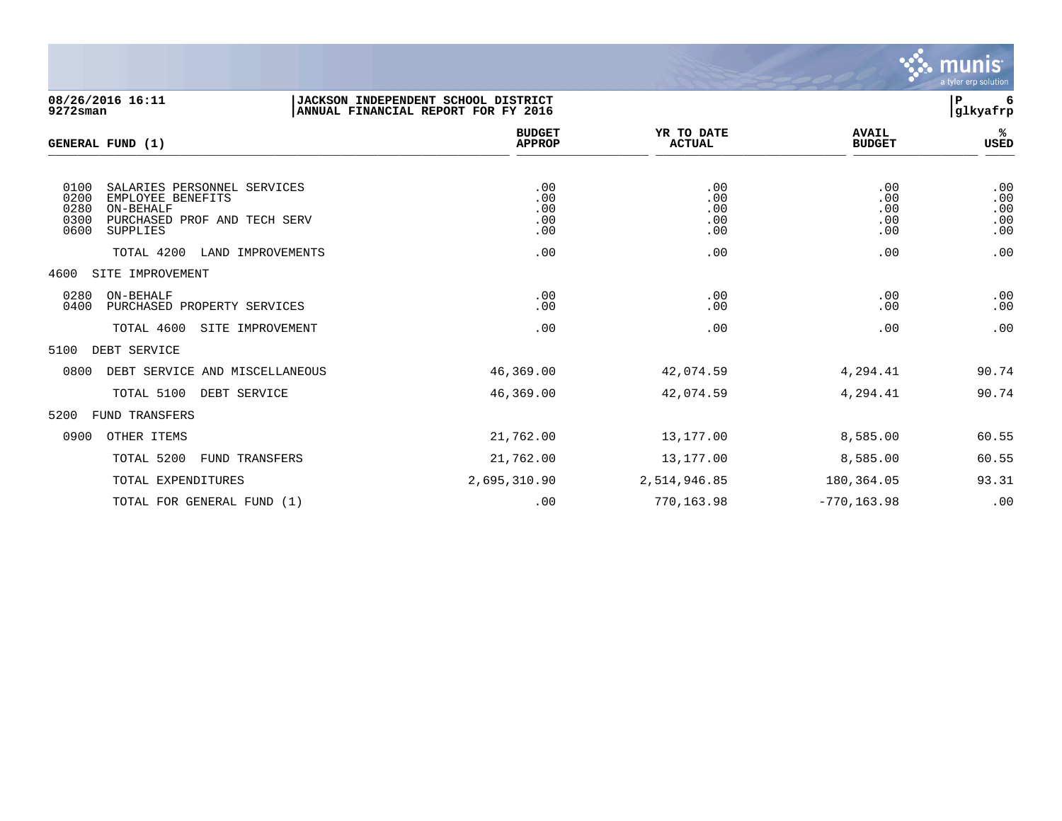

| 08/26/2016 16:11<br>$9272$ sman                                                                                                                                                             | JACKSON INDEPENDENT SCHOOL DISTRICT<br>ANNUAL FINANCIAL REPORT FOR FY 2016 |                                        |                                        | l P<br>6<br>glkyafrp                   |
|---------------------------------------------------------------------------------------------------------------------------------------------------------------------------------------------|----------------------------------------------------------------------------|----------------------------------------|----------------------------------------|----------------------------------------|
| GENERAL FUND (1)                                                                                                                                                                            | <b>BUDGET</b><br><b>APPROP</b>                                             | YR TO DATE<br><b>ACTUAL</b>            | <b>AVAIL</b><br><b>BUDGET</b>          | %ะ<br>USED                             |
| 0100<br>SALARIES PERSONNEL SERVICES<br>0200<br>EMPLOYEE BENEFITS<br>0280<br>ON-BEHALF<br>0300<br>PURCHASED PROF AND TECH SERV<br>0600<br><b>SUPPLIES</b><br>TOTAL 4200<br>LAND IMPROVEMENTS | .00<br>.00<br>.00<br>.00<br>.00<br>.00                                     | .00<br>.00<br>.00<br>.00<br>.00<br>.00 | .00<br>.00<br>.00<br>.00<br>.00<br>.00 | .00<br>.00<br>.00<br>.00<br>.00<br>.00 |
| 4600<br>SITE IMPROVEMENT                                                                                                                                                                    |                                                                            |                                        |                                        |                                        |
| 0280<br>ON-BEHALF<br>0400<br>PURCHASED PROPERTY SERVICES                                                                                                                                    | .00<br>.00                                                                 | .00<br>.00                             | .00<br>.00                             | .00<br>.00                             |
| TOTAL 4600<br>SITE IMPROVEMENT                                                                                                                                                              | .00                                                                        | .00                                    | .00                                    | .00                                    |
| DEBT SERVICE<br>5100                                                                                                                                                                        |                                                                            |                                        |                                        |                                        |
| 0800<br>DEBT SERVICE AND MISCELLANEOUS                                                                                                                                                      | 46,369.00                                                                  | 42,074.59                              | 4,294.41                               | 90.74                                  |
| TOTAL 5100<br>DEBT SERVICE                                                                                                                                                                  | 46,369.00                                                                  | 42,074.59                              | 4,294.41                               | 90.74                                  |
| 5200<br>FUND TRANSFERS                                                                                                                                                                      |                                                                            |                                        |                                        |                                        |
| 0900<br>OTHER ITEMS                                                                                                                                                                         | 21,762.00                                                                  | 13,177.00                              | 8,585.00                               | 60.55                                  |
| TOTAL 5200<br>FUND TRANSFERS                                                                                                                                                                | 21,762.00                                                                  | 13,177.00                              | 8,585.00                               | 60.55                                  |
| TOTAL EXPENDITURES                                                                                                                                                                          | 2,695,310.90                                                               | 2,514,946.85                           | 180,364.05                             | 93.31                                  |

TOTAL FOR GENERAL FUND (1)  $\qquad \qquad .00$  .00 770,163.98 -770,163.98 -770,163.98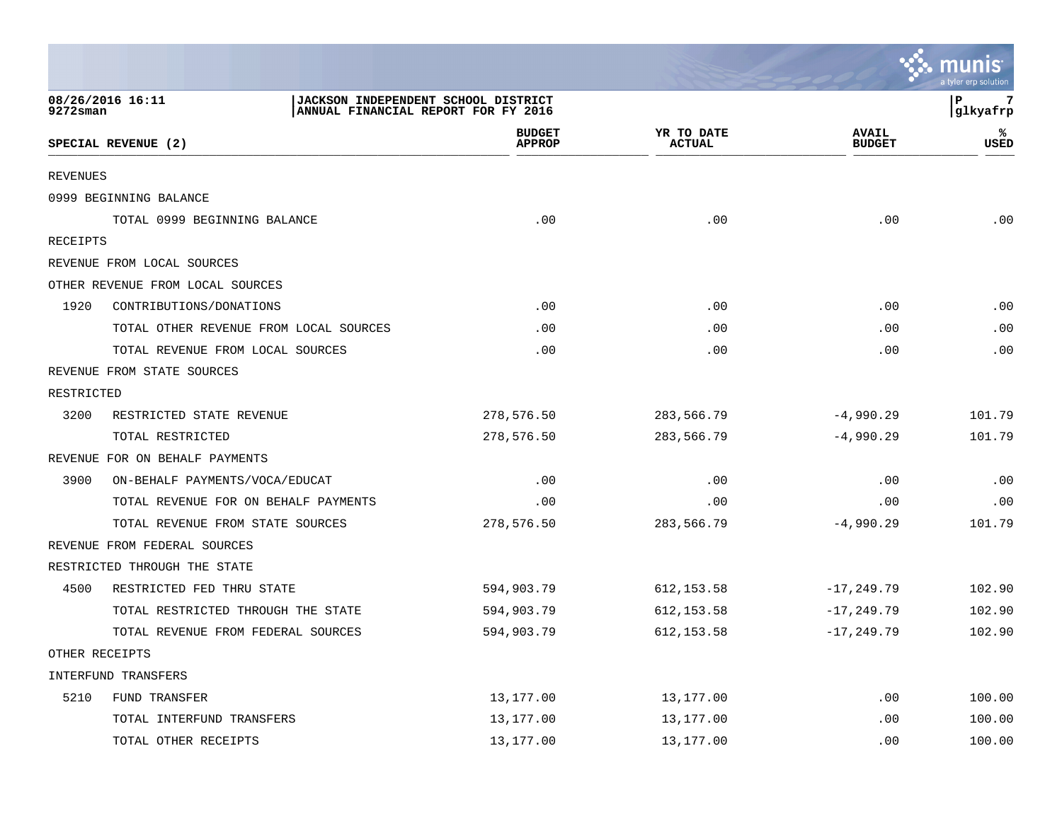|                 |                                        |                                                                            |                             |                               | <b>A.</b> munis<br>a tyler erp solution |
|-----------------|----------------------------------------|----------------------------------------------------------------------------|-----------------------------|-------------------------------|-----------------------------------------|
| 9272sman        | 08/26/2016 16:11                       | JACKSON INDEPENDENT SCHOOL DISTRICT<br>ANNUAL FINANCIAL REPORT FOR FY 2016 |                             |                               | P<br>glkyafrp                           |
|                 | SPECIAL REVENUE (2)                    | <b>BUDGET</b><br><b>APPROP</b>                                             | YR TO DATE<br><b>ACTUAL</b> | <b>AVAIL</b><br><b>BUDGET</b> | ℁<br>USED                               |
| <b>REVENUES</b> |                                        |                                                                            |                             |                               |                                         |
|                 | 0999 BEGINNING BALANCE                 |                                                                            |                             |                               |                                         |
|                 | TOTAL 0999 BEGINNING BALANCE           | .00                                                                        | .00                         | .00                           | .00                                     |
| <b>RECEIPTS</b> |                                        |                                                                            |                             |                               |                                         |
|                 | REVENUE FROM LOCAL SOURCES             |                                                                            |                             |                               |                                         |
|                 | OTHER REVENUE FROM LOCAL SOURCES       |                                                                            |                             |                               |                                         |
| 1920            | CONTRIBUTIONS/DONATIONS                | .00                                                                        | .00                         | .00                           | .00                                     |
|                 | TOTAL OTHER REVENUE FROM LOCAL SOURCES | .00                                                                        | .00                         | .00                           | .00                                     |
|                 | TOTAL REVENUE FROM LOCAL SOURCES       | .00                                                                        | .00                         | .00                           | .00                                     |
|                 | REVENUE FROM STATE SOURCES             |                                                                            |                             |                               |                                         |
| RESTRICTED      |                                        |                                                                            |                             |                               |                                         |
| 3200            | RESTRICTED STATE REVENUE               | 278,576.50                                                                 | 283,566.79                  | $-4,990.29$                   | 101.79                                  |
|                 | TOTAL RESTRICTED                       | 278,576.50                                                                 | 283,566.79                  | $-4,990.29$                   | 101.79                                  |
|                 | REVENUE FOR ON BEHALF PAYMENTS         |                                                                            |                             |                               |                                         |
| 3900            | ON-BEHALF PAYMENTS/VOCA/EDUCAT         | .00                                                                        | .00                         | .00                           | .00                                     |
|                 | TOTAL REVENUE FOR ON BEHALF PAYMENTS   | .00                                                                        | .00                         | .00                           | .00                                     |
|                 | TOTAL REVENUE FROM STATE SOURCES       | 278,576.50                                                                 | 283,566.79                  | $-4,990.29$                   | 101.79                                  |
|                 | REVENUE FROM FEDERAL SOURCES           |                                                                            |                             |                               |                                         |
|                 | RESTRICTED THROUGH THE STATE           |                                                                            |                             |                               |                                         |
| 4500            | RESTRICTED FED THRU STATE              | 594,903.79                                                                 | 612, 153.58                 | $-17, 249.79$                 | 102.90                                  |
|                 | TOTAL RESTRICTED THROUGH THE STATE     | 594,903.79                                                                 | 612, 153.58                 | $-17, 249.79$                 | 102.90                                  |
|                 | TOTAL REVENUE FROM FEDERAL SOURCES     | 594,903.79                                                                 | 612, 153.58                 | $-17, 249.79$                 | 102.90                                  |
|                 | OTHER RECEIPTS                         |                                                                            |                             |                               |                                         |
|                 | INTERFUND TRANSFERS                    |                                                                            |                             |                               |                                         |
| 5210            | FUND TRANSFER                          | 13,177.00                                                                  | 13,177.00                   | .00                           | 100.00                                  |
|                 | TOTAL INTERFUND TRANSFERS              | 13,177.00                                                                  | 13,177.00                   | .00                           | 100.00                                  |
|                 | TOTAL OTHER RECEIPTS                   | 13,177.00                                                                  | 13,177.00                   | .00                           | 100.00                                  |

the contract of the contract of the contract of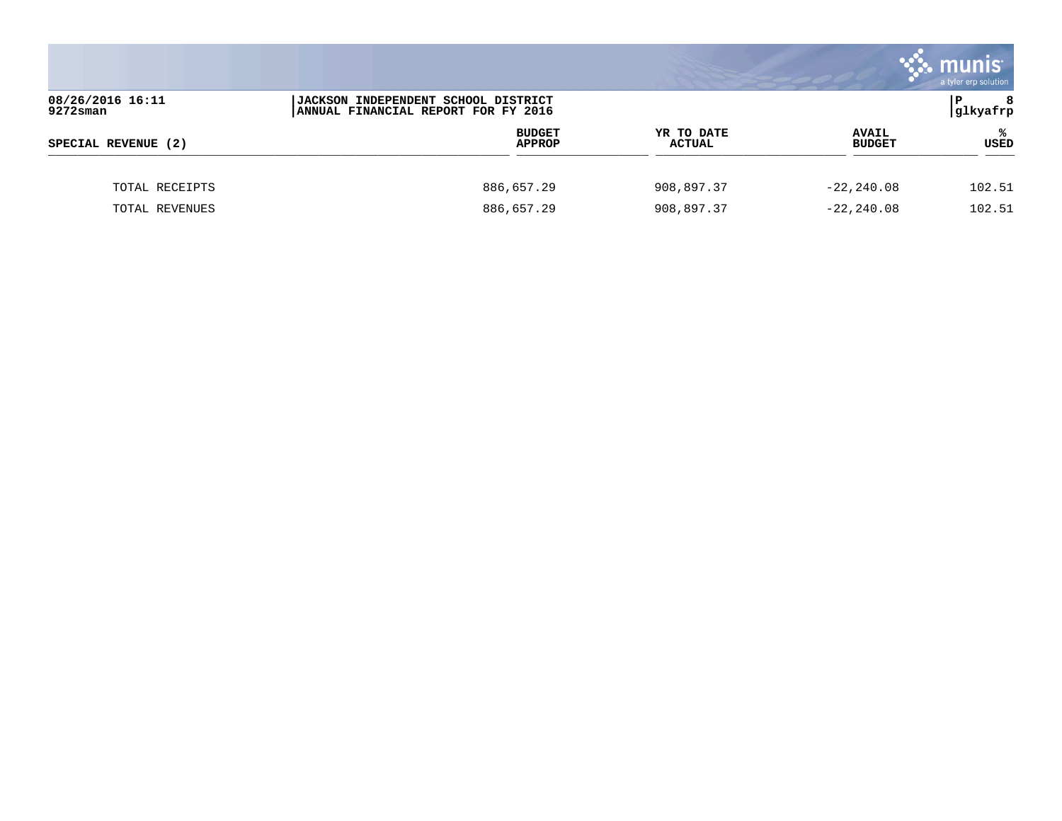|                                 |                                                                                   |                             |                               | <b>munis</b><br>a tyler erp solution |
|---------------------------------|-----------------------------------------------------------------------------------|-----------------------------|-------------------------------|--------------------------------------|
| 08/26/2016 16:11<br>$9272$ sman | <b>JACKSON INDEPENDENT SCHOOL DISTRICT</b><br>ANNUAL FINANCIAL REPORT FOR FY 2016 |                             |                               | ΙP<br>8<br> glkyafrp                 |
| SPECIAL REVENUE (2)             | <b>BUDGET</b><br><b>APPROP</b>                                                    | YR TO DATE<br><b>ACTUAL</b> | <b>AVAIL</b><br><b>BUDGET</b> | ℁<br>USED                            |
| TOTAL RECEIPTS                  | 886,657.29                                                                        | 908,897.37                  | $-22, 240.08$                 | 102.51                               |
| TOTAL REVENUES                  | 886,657.29                                                                        | 908,897.37                  | $-22, 240.08$                 | 102.51                               |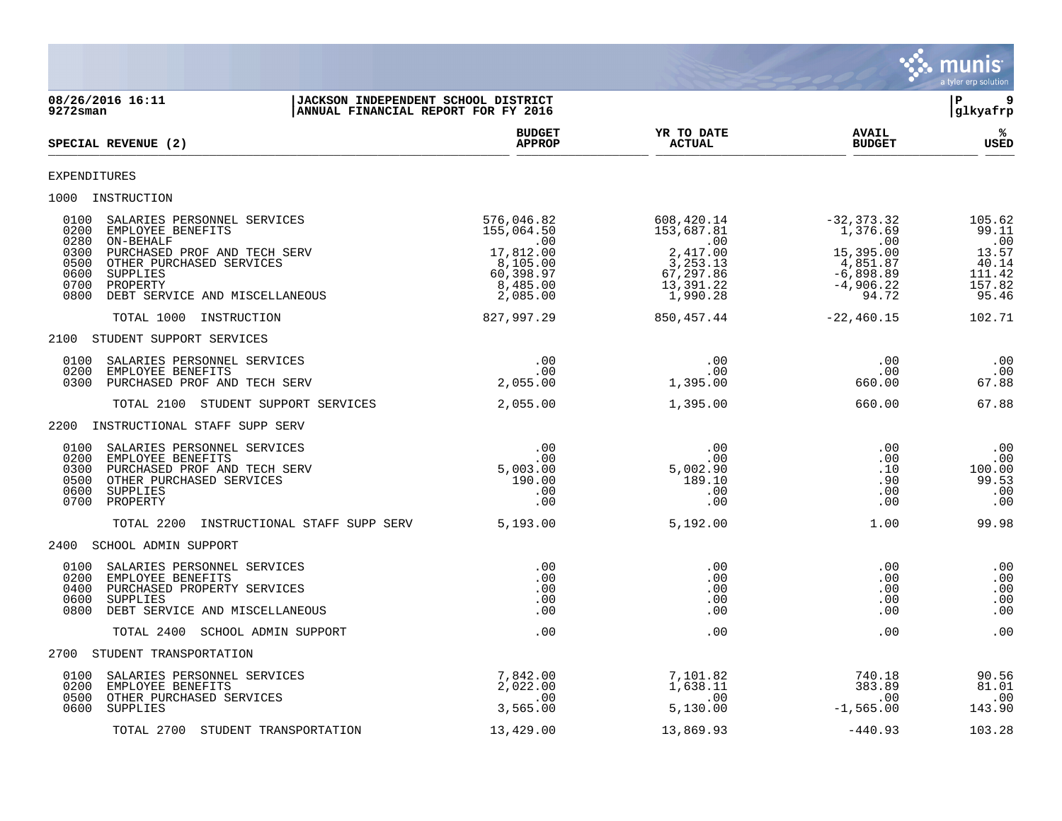

| 08/26/2016 16:11<br><b>JACKSON INDEPENDENT SCHOOL DISTRICT</b><br>ANNUAL FINANCIAL REPORT FOR FY 2016<br>$9272$ sman                                                                                                                                |                                                                                                         |                                                                                                |                                                                                                  | 9<br>l P<br> glkyafrp                                                 |
|-----------------------------------------------------------------------------------------------------------------------------------------------------------------------------------------------------------------------------------------------------|---------------------------------------------------------------------------------------------------------|------------------------------------------------------------------------------------------------|--------------------------------------------------------------------------------------------------|-----------------------------------------------------------------------|
| SPECIAL REVENUE (2)                                                                                                                                                                                                                                 | <b>BUDGET</b><br><b>APPROP</b>                                                                          | YR TO DATE<br><b>ACTUAL</b>                                                                    | <b>AVAIL</b><br><b>BUDGET</b>                                                                    | %ะ<br><b>USED</b>                                                     |
| EXPENDITURES                                                                                                                                                                                                                                        |                                                                                                         |                                                                                                |                                                                                                  |                                                                       |
| 1000 INSTRUCTION                                                                                                                                                                                                                                    |                                                                                                         |                                                                                                |                                                                                                  |                                                                       |
| 0100<br>SALARIES PERSONNEL SERVICES<br>0200<br>EMPLOYEE BENEFITS<br>0280<br>ON-BEHALF<br>0300<br>PURCHASED PROF AND TECH SERV<br>0500<br>OTHER PURCHASED SERVICES<br>0600<br>SUPPLIES<br>0700<br>PROPERTY<br>0800<br>DEBT SERVICE AND MISCELLANEOUS | 576,046.82<br>155,064.50<br>$\,$ .00 $\,$<br>17,812.00<br>8,105.00<br>60,398.97<br>8,485.00<br>2,085.00 | 608,420.14<br>153,687.81<br>.00<br>2,417.00<br>3, 253.13<br>67,297.86<br>13,391.22<br>1,990.28 | $-32, 373.32$<br>1,376.69<br>.00<br>15,395.00<br>4,851.87<br>$-6,898.89$<br>$-4,906.22$<br>94.72 | 105.62<br>99.11<br>.00<br>13.57<br>40.14<br>111.42<br>157.82<br>95.46 |
| TOTAL 1000 INSTRUCTION                                                                                                                                                                                                                              | 827,997.29                                                                                              | 850,457.44                                                                                     | $-22,460.15$                                                                                     | 102.71                                                                |
| 2100 STUDENT SUPPORT SERVICES                                                                                                                                                                                                                       |                                                                                                         |                                                                                                |                                                                                                  |                                                                       |
| 0100<br>SALARIES PERSONNEL SERVICES<br>0200<br>EMPLOYEE BENEFITS<br>0300<br>PURCHASED PROF AND TECH SERV                                                                                                                                            | .00<br>$.00 \,$<br>2,055.00                                                                             | .00<br>.00<br>1,395.00                                                                         | .00<br>.00<br>660.00                                                                             | .00<br>.00<br>67.88                                                   |
| TOTAL 2100 STUDENT SUPPORT SERVICES                                                                                                                                                                                                                 | 2,055.00                                                                                                | 1,395.00                                                                                       | 660.00                                                                                           | 67.88                                                                 |
| 2200 INSTRUCTIONAL STAFF SUPP SERV                                                                                                                                                                                                                  |                                                                                                         |                                                                                                |                                                                                                  |                                                                       |
| SALARIES PERSONNEL SERVICES<br>0100<br>0200<br>EMPLOYEE BENEFITS<br>0300<br>PURCHASED PROF AND TECH SERV<br>0500<br>OTHER PURCHASED SERVICES<br>0600<br>SUPPLIES<br>0700<br>PROPERTY                                                                | .00<br>.00<br>5,003.00<br>190.00<br>.00<br>.00                                                          | .00<br>.00<br>5,002.90<br>189.10<br>.00<br>.00                                                 | .00<br>.00<br>.10<br>.90<br>.00<br>.00                                                           | .00<br>.00<br>100.00<br>99.53<br>.00<br>.00                           |
| INSTRUCTIONAL STAFF SUPP SERV<br>TOTAL 2200                                                                                                                                                                                                         | 5,193.00                                                                                                | 5,192.00                                                                                       | 1.00                                                                                             | 99.98                                                                 |
| 2400 SCHOOL ADMIN SUPPORT                                                                                                                                                                                                                           |                                                                                                         |                                                                                                |                                                                                                  |                                                                       |
| 0100<br>SALARIES PERSONNEL SERVICES<br>0200<br>EMPLOYEE BENEFITS<br>0400<br>PURCHASED PROPERTY SERVICES<br>0600<br><b>SUPPLIES</b><br>0800<br>DEBT SERVICE AND MISCELLANEOUS                                                                        | .00<br>.00<br>.00<br>.00<br>.00                                                                         | .00<br>.00<br>.00<br>.00<br>.00                                                                | .00<br>.00<br>.00<br>.00<br>.00                                                                  | .00<br>.00<br>.00<br>.00<br>.00                                       |
| TOTAL 2400 SCHOOL ADMIN SUPPORT                                                                                                                                                                                                                     | .00                                                                                                     | .00                                                                                            | .00                                                                                              | .00                                                                   |
| 2700 STUDENT TRANSPORTATION                                                                                                                                                                                                                         |                                                                                                         |                                                                                                |                                                                                                  |                                                                       |
| 0100<br>SALARIES PERSONNEL SERVICES<br>0200<br>EMPLOYEE BENEFITS<br>OTHER PURCHASED SERVICES<br>0500<br>0600<br>SUPPLIES                                                                                                                            | 7,842.00<br>2,022.00<br>.00<br>3,565.00                                                                 | 7,101.82<br>1,638.11<br>.00<br>5,130.00                                                        | 740.18<br>383.89<br>.00<br>$-1,565.00$                                                           | 90.56<br>81.01<br>.00<br>143.90                                       |
| TOTAL 2700 STUDENT TRANSPORTATION                                                                                                                                                                                                                   | 13,429.00                                                                                               | 13,869.93                                                                                      | $-440.93$                                                                                        | 103.28                                                                |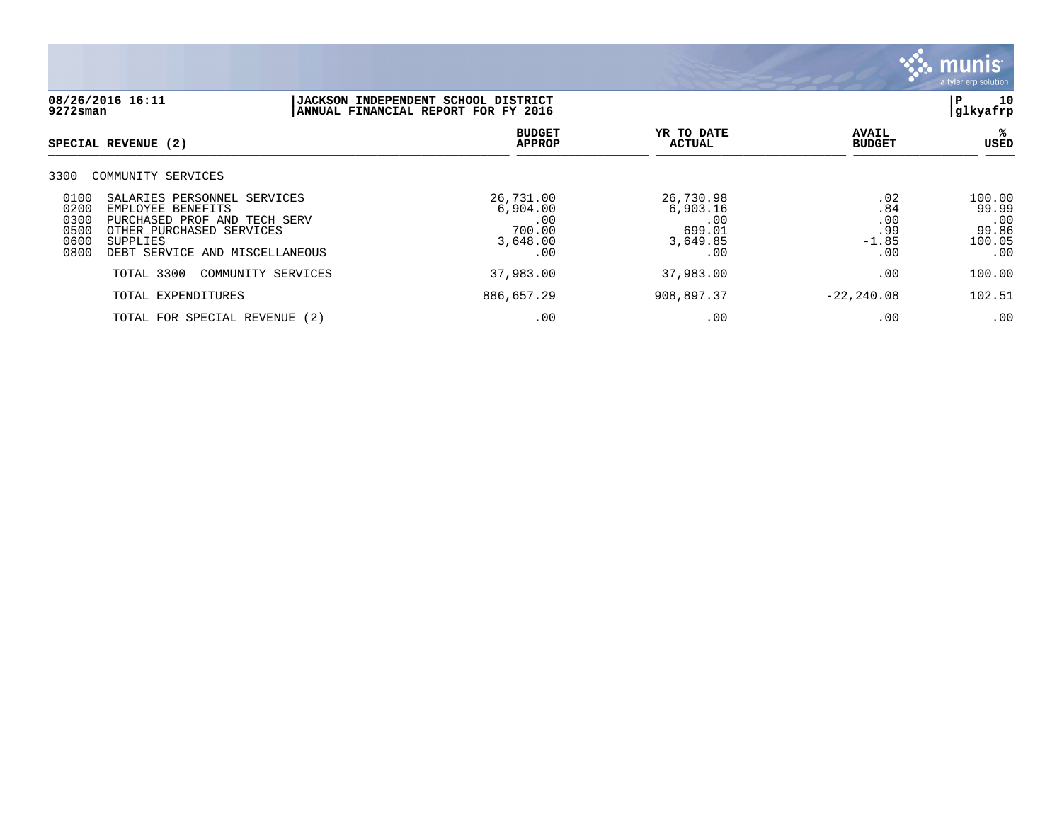

| 08/26/2016 16:11<br>9272sman                                                                                                                                                                                      | JACKSON INDEPENDENT SCHOOL DISTRICT<br>ANNUAL FINANCIAL REPORT FOR FY 2016 |                                                           |                                            |                                                  |
|-------------------------------------------------------------------------------------------------------------------------------------------------------------------------------------------------------------------|----------------------------------------------------------------------------|-----------------------------------------------------------|--------------------------------------------|--------------------------------------------------|
| SPECIAL REVENUE (2)                                                                                                                                                                                               | <b>BUDGET</b><br><b>APPROP</b>                                             | YR TO DATE<br><b>ACTUAL</b>                               | <b>AVAIL</b><br><b>BUDGET</b>              | ℁<br>USED                                        |
| 3300<br>COMMUNITY SERVICES                                                                                                                                                                                        |                                                                            |                                                           |                                            |                                                  |
| 0100<br>SALARIES PERSONNEL SERVICES<br>0200<br>EMPLOYEE BENEFITS<br>0300<br>PURCHASED PROF AND TECH SERV<br>0500<br>OTHER PURCHASED SERVICES<br>0600<br><b>SUPPLIES</b><br>0800<br>DEBT SERVICE AND MISCELLANEOUS | 26,731.00<br>6,904.00<br>.00<br>700.00<br>3,648.00<br>.00                  | 26,730.98<br>6,903.16<br>.00<br>699.01<br>3,649.85<br>.00 | .02<br>.84<br>.00<br>.99<br>$-1.85$<br>.00 | 100.00<br>99.99<br>.00<br>99.86<br>100.05<br>.00 |
| TOTAL 3300<br>COMMUNITY SERVICES                                                                                                                                                                                  | 37,983.00                                                                  | 37,983.00                                                 | .00                                        | 100.00                                           |
| TOTAL EXPENDITURES                                                                                                                                                                                                | 886,657.29                                                                 | 908,897.37                                                | $-22, 240.08$                              | 102.51                                           |
| TOTAL FOR SPECIAL REVENUE (2)                                                                                                                                                                                     | .00                                                                        | .00                                                       | .00                                        | .00                                              |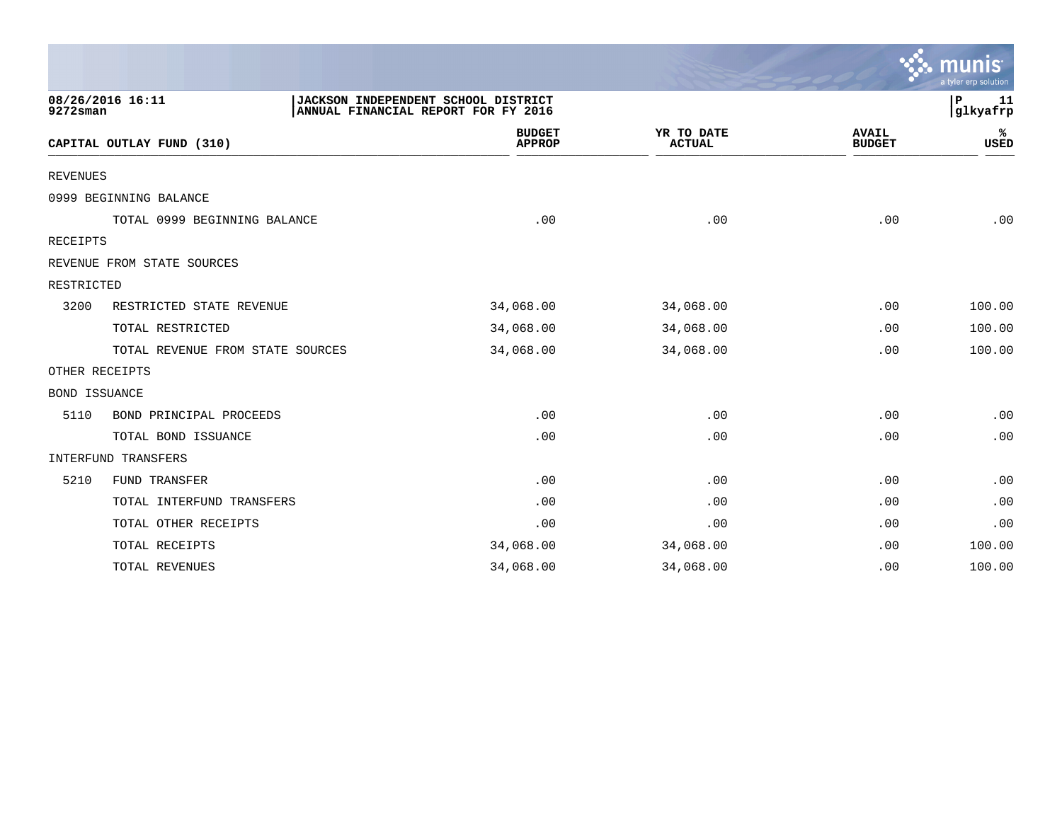|                                                                                                                              |                                  |                                |                             |                               | munis<br>a tyler erp solution |
|------------------------------------------------------------------------------------------------------------------------------|----------------------------------|--------------------------------|-----------------------------|-------------------------------|-------------------------------|
| 08/26/2016 16:11<br>JACKSON INDEPENDENT SCHOOL DISTRICT<br>P<br>glkyafrp <br>9272sman<br>ANNUAL FINANCIAL REPORT FOR FY 2016 |                                  |                                |                             |                               |                               |
|                                                                                                                              | CAPITAL OUTLAY FUND (310)        | <b>BUDGET</b><br><b>APPROP</b> | YR TO DATE<br><b>ACTUAL</b> | <b>AVAIL</b><br><b>BUDGET</b> | %<br><b>USED</b>              |
| <b>REVENUES</b>                                                                                                              |                                  |                                |                             |                               |                               |
|                                                                                                                              | 0999 BEGINNING BALANCE           |                                |                             |                               |                               |
|                                                                                                                              | TOTAL 0999 BEGINNING BALANCE     | .00                            | .00                         | .00                           | .00                           |
| RECEIPTS                                                                                                                     |                                  |                                |                             |                               |                               |
|                                                                                                                              | REVENUE FROM STATE SOURCES       |                                |                             |                               |                               |
| RESTRICTED                                                                                                                   |                                  |                                |                             |                               |                               |
| 3200                                                                                                                         | RESTRICTED STATE REVENUE         | 34,068.00                      | 34,068.00                   | .00                           | 100.00                        |
|                                                                                                                              | TOTAL RESTRICTED                 | 34,068.00                      | 34,068.00                   | .00                           | 100.00                        |
|                                                                                                                              | TOTAL REVENUE FROM STATE SOURCES | 34,068.00                      | 34,068.00                   | .00                           | 100.00                        |
| OTHER RECEIPTS                                                                                                               |                                  |                                |                             |                               |                               |
| <b>BOND ISSUANCE</b>                                                                                                         |                                  |                                |                             |                               |                               |
| 5110                                                                                                                         | BOND PRINCIPAL PROCEEDS          | .00                            | .00                         | .00                           | .00                           |
|                                                                                                                              | TOTAL BOND ISSUANCE              | .00                            | .00                         | .00                           | .00                           |
|                                                                                                                              | INTERFUND TRANSFERS              |                                |                             |                               |                               |
| 5210                                                                                                                         | FUND TRANSFER                    | .00                            | .00                         | .00                           | .00                           |
|                                                                                                                              | TOTAL INTERFUND TRANSFERS        | .00                            | .00                         | .00                           | .00                           |
|                                                                                                                              | TOTAL OTHER RECEIPTS             | .00                            | .00                         | .00                           | .00                           |
|                                                                                                                              | TOTAL RECEIPTS                   | 34,068.00                      | 34,068.00                   | .00                           | 100.00                        |
|                                                                                                                              | TOTAL REVENUES                   | 34,068.00                      | 34,068.00                   | .00                           | 100.00                        |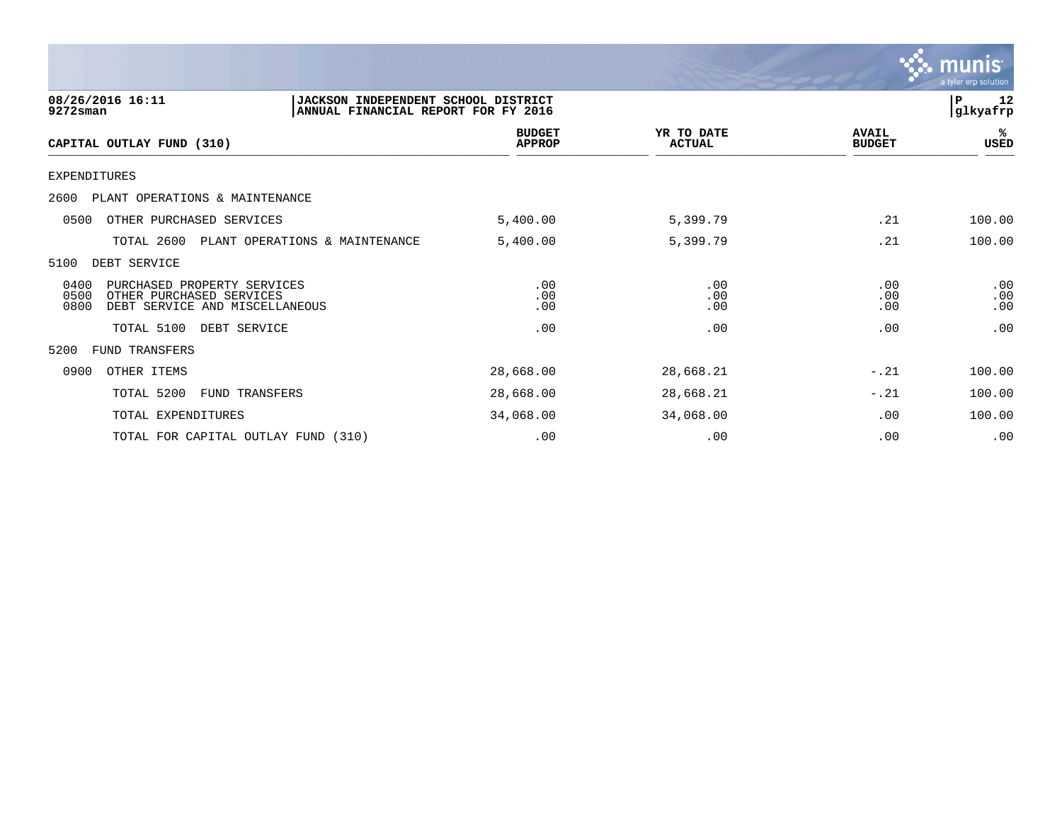

| 08/26/2016 16:11<br><b>JACKSON INDEPENDENT SCHOOL DISTRICT</b><br>9272sman<br>ANNUAL FINANCIAL REPORT FOR FY 2016 |                                                                                           |                                |                                |                             | 12<br>${\bf P}$<br>glkyafrp   |                   |
|-------------------------------------------------------------------------------------------------------------------|-------------------------------------------------------------------------------------------|--------------------------------|--------------------------------|-----------------------------|-------------------------------|-------------------|
|                                                                                                                   | CAPITAL OUTLAY FUND (310)                                                                 |                                | <b>BUDGET</b><br><b>APPROP</b> | YR TO DATE<br><b>ACTUAL</b> | <b>AVAIL</b><br><b>BUDGET</b> | %ะ<br>USED        |
| <b>EXPENDITURES</b>                                                                                               |                                                                                           |                                |                                |                             |                               |                   |
| 2600                                                                                                              | PLANT OPERATIONS & MAINTENANCE                                                            |                                |                                |                             |                               |                   |
| 0500                                                                                                              | OTHER PURCHASED SERVICES                                                                  |                                | 5,400.00                       | 5,399.79                    | .21                           | 100.00            |
|                                                                                                                   | TOTAL 2600                                                                                | PLANT OPERATIONS & MAINTENANCE | 5,400.00                       | 5,399.79                    | .21                           | 100.00            |
| 5100                                                                                                              | DEBT SERVICE                                                                              |                                |                                |                             |                               |                   |
| 0400<br>0500<br>0800                                                                                              | PURCHASED PROPERTY SERVICES<br>OTHER PURCHASED SERVICES<br>DEBT SERVICE AND MISCELLANEOUS |                                | .00<br>.00<br>.00              | .00<br>.00<br>.00           | .00<br>.00<br>.00             | .00<br>.00<br>.00 |
|                                                                                                                   | TOTAL 5100<br>DEBT SERVICE                                                                |                                | .00                            | .00                         | .00                           | .00               |
| 5200                                                                                                              | FUND TRANSFERS                                                                            |                                |                                |                             |                               |                   |
| 0900                                                                                                              | OTHER ITEMS                                                                               |                                | 28,668.00                      | 28,668.21                   | $-.21$                        | 100.00            |
|                                                                                                                   | TOTAL 5200<br>FUND TRANSFERS                                                              |                                | 28,668.00                      | 28,668.21                   | $-.21$                        | 100.00            |
|                                                                                                                   | TOTAL EXPENDITURES                                                                        |                                | 34,068.00                      | 34,068.00                   | .00                           | 100.00            |
|                                                                                                                   | TOTAL FOR CAPITAL OUTLAY FUND (310)                                                       |                                | .00                            | .00                         | .00                           | .00               |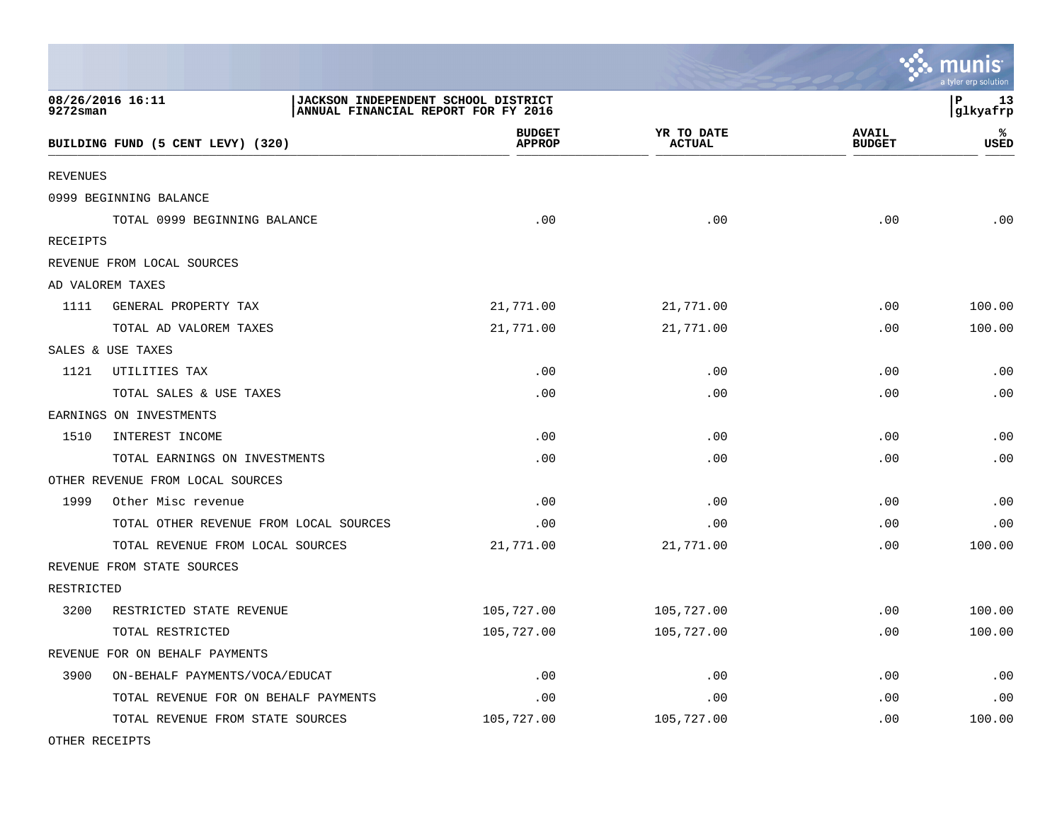|                 |                                        |                                                                            |                                |                             |                               | <b>oo</b> mums<br>a tyler erp solution |
|-----------------|----------------------------------------|----------------------------------------------------------------------------|--------------------------------|-----------------------------|-------------------------------|----------------------------------------|
| $9272$ sman     | 08/26/2016 16:11                       | JACKSON INDEPENDENT SCHOOL DISTRICT<br>ANNUAL FINANCIAL REPORT FOR FY 2016 |                                |                             |                               | P<br>13<br> glkyafrp                   |
|                 | BUILDING FUND (5 CENT LEVY) (320)      |                                                                            | <b>BUDGET</b><br><b>APPROP</b> | YR TO DATE<br><b>ACTUAL</b> | <b>AVAIL</b><br><b>BUDGET</b> | ℁<br>USED                              |
| <b>REVENUES</b> |                                        |                                                                            |                                |                             |                               |                                        |
|                 | 0999 BEGINNING BALANCE                 |                                                                            |                                |                             |                               |                                        |
|                 | TOTAL 0999 BEGINNING BALANCE           |                                                                            | .00                            | .00                         | .00                           | .00                                    |
| RECEIPTS        |                                        |                                                                            |                                |                             |                               |                                        |
|                 | REVENUE FROM LOCAL SOURCES             |                                                                            |                                |                             |                               |                                        |
|                 | AD VALOREM TAXES                       |                                                                            |                                |                             |                               |                                        |
| 1111            | GENERAL PROPERTY TAX                   | 21,771.00                                                                  |                                | 21,771.00                   | .00                           | 100.00                                 |
|                 | TOTAL AD VALOREM TAXES                 | 21,771.00                                                                  |                                | 21,771.00                   | .00                           | 100.00                                 |
|                 | SALES & USE TAXES                      |                                                                            |                                |                             |                               |                                        |
| 1121            | UTILITIES TAX                          |                                                                            | .00                            | .00                         | .00                           | .00                                    |
|                 | TOTAL SALES & USE TAXES                |                                                                            | .00                            | .00                         | .00                           | .00                                    |
|                 | EARNINGS ON INVESTMENTS                |                                                                            |                                |                             |                               |                                        |
| 1510            | INTEREST INCOME                        |                                                                            | .00                            | .00                         | .00                           | .00                                    |
|                 | TOTAL EARNINGS ON INVESTMENTS          |                                                                            | .00                            | .00                         | .00                           | .00                                    |
|                 | OTHER REVENUE FROM LOCAL SOURCES       |                                                                            |                                |                             |                               |                                        |
| 1999            | Other Misc revenue                     |                                                                            | .00                            | .00                         | .00                           | .00                                    |
|                 | TOTAL OTHER REVENUE FROM LOCAL SOURCES |                                                                            | .00                            | .00                         | .00                           | .00                                    |
|                 | TOTAL REVENUE FROM LOCAL SOURCES       | 21,771.00                                                                  |                                | 21,771.00                   | .00                           | 100.00                                 |
|                 | REVENUE FROM STATE SOURCES             |                                                                            |                                |                             |                               |                                        |
| RESTRICTED      |                                        |                                                                            |                                |                             |                               |                                        |
| 3200            | RESTRICTED STATE REVENUE               | 105,727.00                                                                 |                                | 105,727.00                  | .00                           | 100.00                                 |
|                 | TOTAL RESTRICTED                       | 105,727.00                                                                 |                                | 105,727.00                  | .00                           | 100.00                                 |
|                 | REVENUE FOR ON BEHALF PAYMENTS         |                                                                            |                                |                             |                               |                                        |
| 3900            | ON-BEHALF PAYMENTS/VOCA/EDUCAT         |                                                                            | .00                            | .00                         | .00                           | .00                                    |
|                 | TOTAL REVENUE FOR ON BEHALF PAYMENTS   |                                                                            | .00                            | .00                         | .00                           | .00                                    |
|                 | TOTAL REVENUE FROM STATE SOURCES       | 105,727.00                                                                 |                                | 105,727.00                  | .00                           | 100.00                                 |

 $\ddot{\cdot}$  munic

OTHER RECEIPTS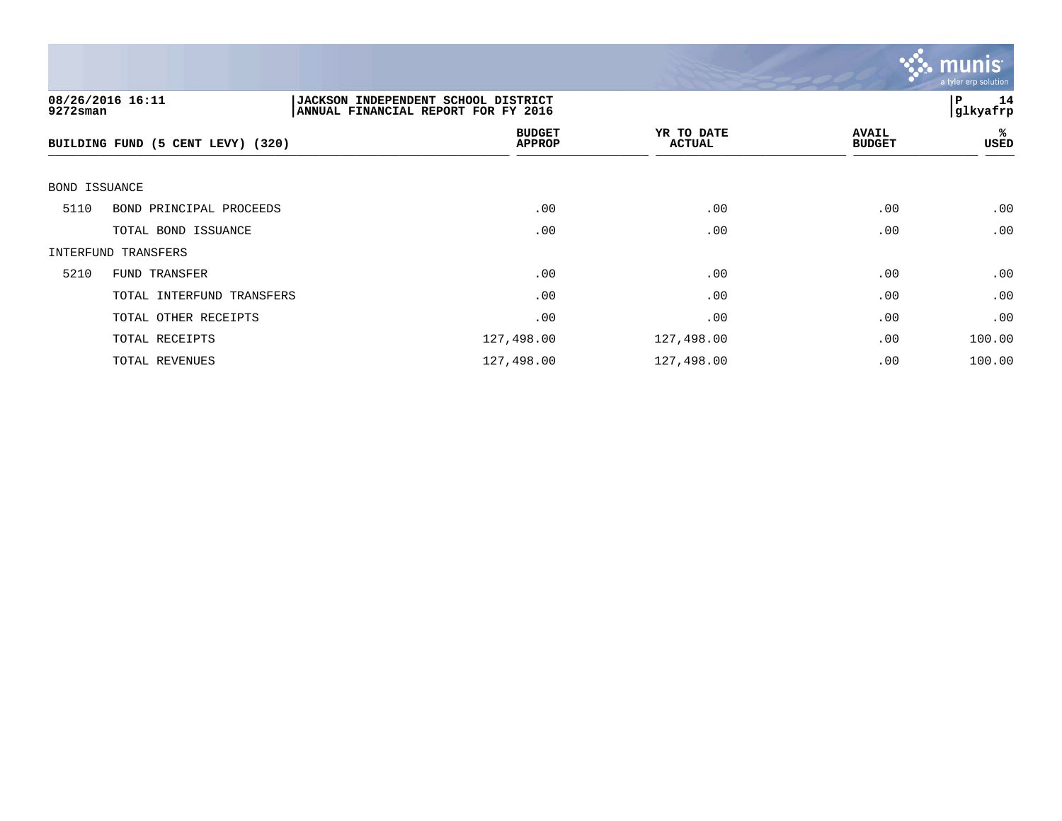

| $9272$ sman   | 08/26/2016 16:11                  | <b>JACKSON INDEPENDENT SCHOOL DISTRICT</b><br>ANNUAL FINANCIAL REPORT FOR FY 2016 |                             |                               | 14<br>P<br> glkyafrp |
|---------------|-----------------------------------|-----------------------------------------------------------------------------------|-----------------------------|-------------------------------|----------------------|
|               | BUILDING FUND (5 CENT LEVY) (320) | <b>BUDGET</b><br><b>APPROP</b>                                                    | YR TO DATE<br><b>ACTUAL</b> | <b>AVAIL</b><br><b>BUDGET</b> | %ะ<br>USED           |
| BOND ISSUANCE |                                   |                                                                                   |                             |                               |                      |
| 5110          | BOND PRINCIPAL PROCEEDS           | .00                                                                               | .00                         | .00                           | .00                  |
|               | TOTAL BOND ISSUANCE               | .00                                                                               | .00                         | .00                           | .00                  |
|               | INTERFUND TRANSFERS               |                                                                                   |                             |                               |                      |
| 5210          | FUND TRANSFER                     | .00                                                                               | .00                         | .00                           | .00                  |
|               | TOTAL INTERFUND TRANSFERS         | .00                                                                               | .00                         | .00                           | .00                  |
|               | TOTAL OTHER RECEIPTS              | .00                                                                               | .00                         | .00                           | .00                  |
|               | TOTAL RECEIPTS                    | 127,498.00                                                                        | 127,498.00                  | .00                           | 100.00               |
|               | TOTAL REVENUES                    | 127,498.00                                                                        | 127,498.00                  | .00                           | 100.00               |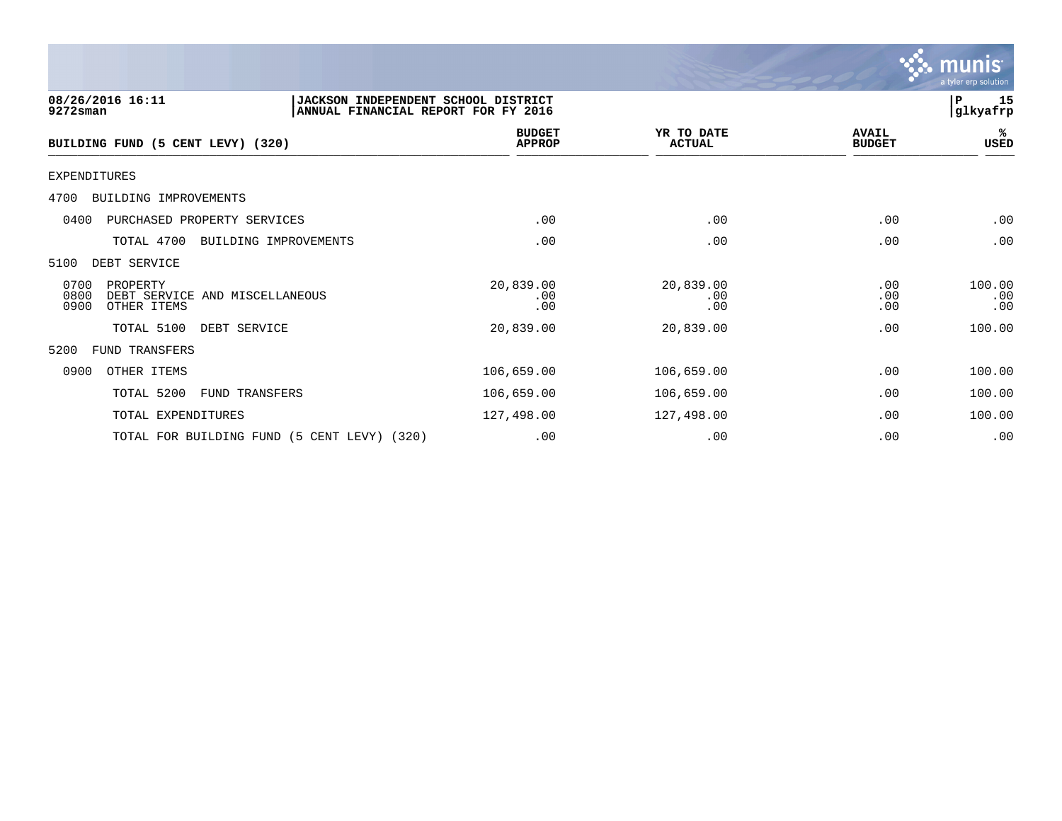

| 08/26/2016 16:11<br>9272sman                                                      | JACKSON INDEPENDENT SCHOOL DISTRICT<br>ANNUAL FINANCIAL REPORT FOR FY 2016 |                             |                               | 15<br>P<br> glkyafrp |
|-----------------------------------------------------------------------------------|----------------------------------------------------------------------------|-----------------------------|-------------------------------|----------------------|
| BUILDING FUND (5 CENT LEVY) (320)                                                 | <b>BUDGET</b><br><b>APPROP</b>                                             | YR TO DATE<br><b>ACTUAL</b> | <b>AVAIL</b><br><b>BUDGET</b> | %ะ<br>USED           |
| EXPENDITURES                                                                      |                                                                            |                             |                               |                      |
| 4700<br>BUILDING IMPROVEMENTS                                                     |                                                                            |                             |                               |                      |
| PURCHASED PROPERTY SERVICES<br>0400                                               | .00                                                                        | .00                         | .00                           | .00                  |
| TOTAL 4700<br>BUILDING IMPROVEMENTS                                               | .00                                                                        | .00                         | .00                           | .00                  |
| 5100<br>DEBT SERVICE                                                              |                                                                            |                             |                               |                      |
| 0700<br>PROPERTY<br>0800<br>DEBT SERVICE AND MISCELLANEOUS<br>0900<br>OTHER ITEMS | 20,839.00<br>.00<br>.00                                                    | 20,839.00<br>.00<br>.00     | .00<br>.00<br>.00             | 100.00<br>.00<br>.00 |
| TOTAL 5100<br>DEBT SERVICE                                                        | 20,839.00                                                                  | 20,839.00                   | .00                           | 100.00               |
| 5200<br>FUND TRANSFERS                                                            |                                                                            |                             |                               |                      |
| 0900<br>OTHER ITEMS                                                               | 106,659.00                                                                 | 106,659.00                  | .00                           | 100.00               |
| TOTAL 5200<br>FUND TRANSFERS                                                      | 106,659.00                                                                 | 106,659.00                  | .00                           | 100.00               |
| TOTAL EXPENDITURES                                                                | 127,498.00                                                                 | 127,498.00                  | .00                           | 100.00               |
| TOTAL FOR BUILDING FUND (5 CENT LEVY) (320)                                       | .00                                                                        | .00                         | .00                           | .00                  |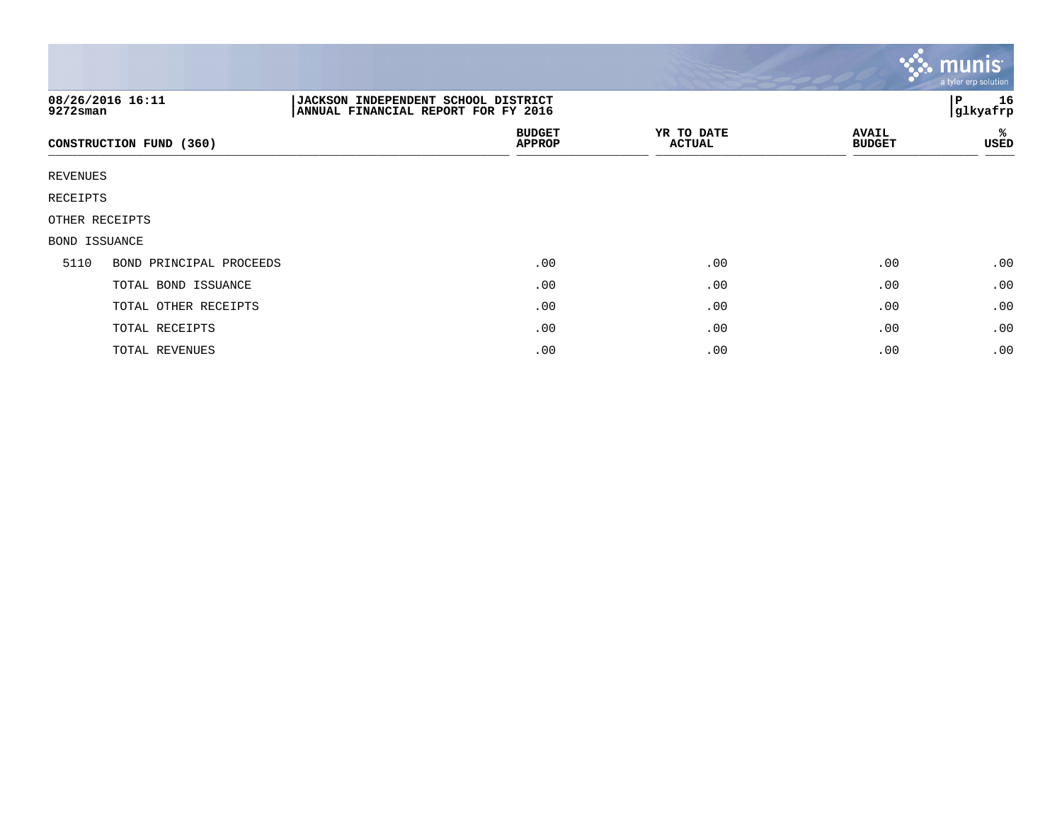|                 |                         |                                                                            |                             |                               | munis<br>a tyler erp solution |
|-----------------|-------------------------|----------------------------------------------------------------------------|-----------------------------|-------------------------------|-------------------------------|
| 9272sman        | 08/26/2016 16:11        | JACKSON INDEPENDENT SCHOOL DISTRICT<br>ANNUAL FINANCIAL REPORT FOR FY 2016 |                             |                               | 16<br> P<br>glkyafrp          |
|                 | CONSTRUCTION FUND (360) | <b>BUDGET</b><br><b>APPROP</b>                                             | YR TO DATE<br><b>ACTUAL</b> | <b>AVAIL</b><br><b>BUDGET</b> | %<br>USED                     |
| <b>REVENUES</b> |                         |                                                                            |                             |                               |                               |
| RECEIPTS        |                         |                                                                            |                             |                               |                               |
|                 | OTHER RECEIPTS          |                                                                            |                             |                               |                               |
| BOND ISSUANCE   |                         |                                                                            |                             |                               |                               |
| 5110            | BOND PRINCIPAL PROCEEDS | .00                                                                        | .00                         | .00                           | .00                           |
|                 | TOTAL BOND ISSUANCE     | .00                                                                        | .00                         | .00                           | .00                           |
|                 | TOTAL OTHER RECEIPTS    | .00                                                                        | .00                         | .00                           | .00                           |
|                 | TOTAL RECEIPTS          | .00                                                                        | .00                         | .00                           | .00                           |
|                 | TOTAL REVENUES          | .00                                                                        | .00                         | .00                           | .00                           |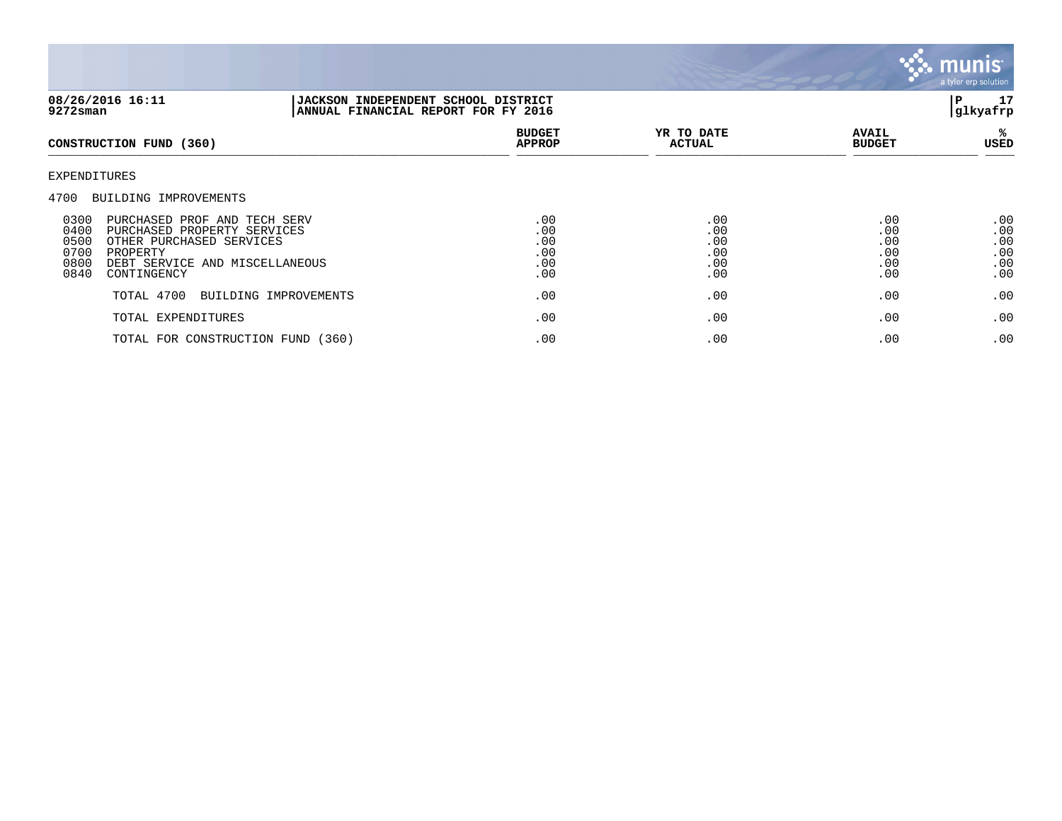

| 08/26/2016 16:11<br>9272sman                                                                                                                                                                                                          | JACKSON INDEPENDENT SCHOOL DISTRICT<br>ANNUAL FINANCIAL REPORT FOR FY 2016 |                                        |                                        |                                        | 17<br>P<br> glkyafrp                   |
|---------------------------------------------------------------------------------------------------------------------------------------------------------------------------------------------------------------------------------------|----------------------------------------------------------------------------|----------------------------------------|----------------------------------------|----------------------------------------|----------------------------------------|
| CONSTRUCTION FUND (360)                                                                                                                                                                                                               |                                                                            | <b>BUDGET</b><br><b>APPROP</b>         | YR TO DATE<br><b>ACTUAL</b>            | <b>AVAIL</b><br><b>BUDGET</b>          | ℁<br>USED                              |
| EXPENDITURES                                                                                                                                                                                                                          |                                                                            |                                        |                                        |                                        |                                        |
| 4700<br>BUILDING IMPROVEMENTS<br>0300<br>PURCHASED PROF AND TECH SERV<br>0400<br>PURCHASED PROPERTY SERVICES<br>0500<br>OTHER PURCHASED SERVICES<br>0700<br>PROPERTY<br>0800<br>DEBT SERVICE AND MISCELLANEOUS<br>0840<br>CONTINGENCY |                                                                            | .00<br>.00<br>.00<br>.00<br>.00<br>.00 | .00<br>.00<br>.00<br>.00<br>.00<br>.00 | .00<br>.00<br>.00<br>.00<br>.00<br>.00 | .00<br>.00<br>.00<br>.00<br>.00<br>.00 |
| TOTAL 4700                                                                                                                                                                                                                            | BUILDING IMPROVEMENTS                                                      | .00                                    | .00                                    | .00                                    | .00                                    |
| TOTAL EXPENDITURES                                                                                                                                                                                                                    |                                                                            | .00                                    | .00                                    | .00                                    | .00                                    |
| TOTAL FOR CONSTRUCTION FUND (360)                                                                                                                                                                                                     |                                                                            | .00                                    | .00                                    | .00                                    | .00                                    |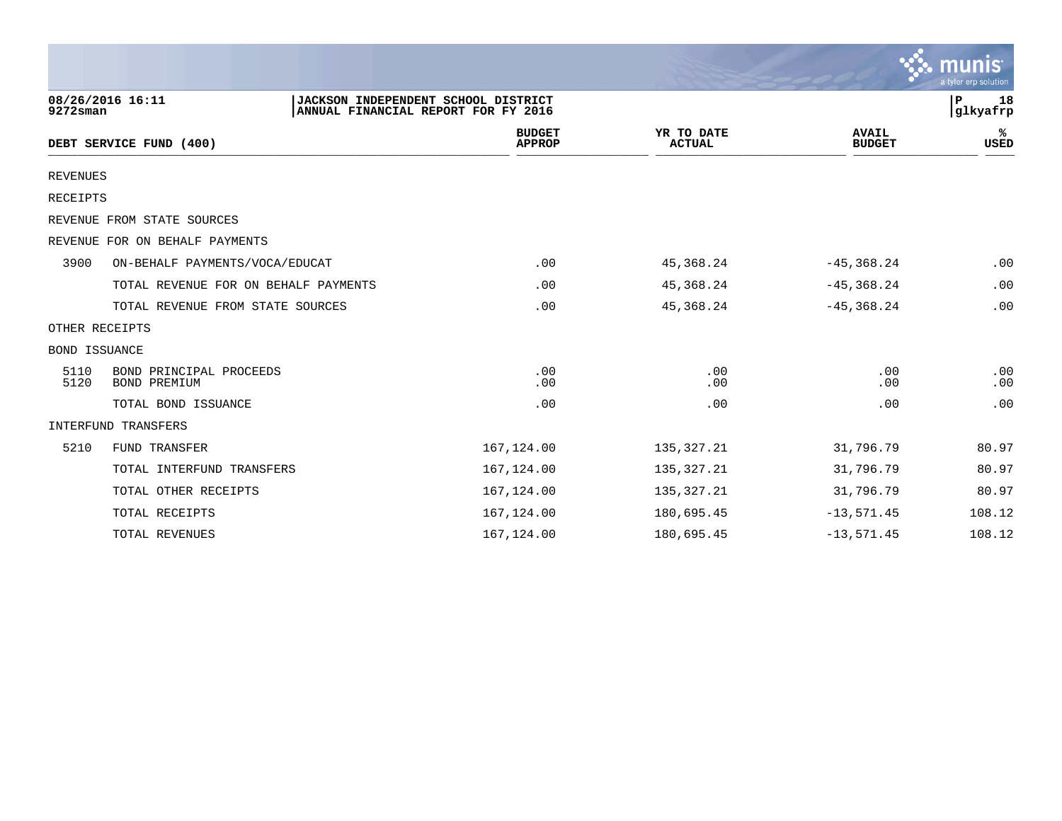|                      |                                         |                                                                            |                                |                             |                               | $\mathbf{\mathcal{C}}$ . munist<br>a tyler erp solution |
|----------------------|-----------------------------------------|----------------------------------------------------------------------------|--------------------------------|-----------------------------|-------------------------------|---------------------------------------------------------|
| $9272$ sman          | 08/26/2016 16:11                        | JACKSON INDEPENDENT SCHOOL DISTRICT<br>ANNUAL FINANCIAL REPORT FOR FY 2016 |                                |                             |                               | P<br>18<br>glkyafrp                                     |
|                      | DEBT SERVICE FUND (400)                 |                                                                            | <b>BUDGET</b><br><b>APPROP</b> | YR TO DATE<br><b>ACTUAL</b> | <b>AVAIL</b><br><b>BUDGET</b> | %<br>USED                                               |
| <b>REVENUES</b>      |                                         |                                                                            |                                |                             |                               |                                                         |
| <b>RECEIPTS</b>      |                                         |                                                                            |                                |                             |                               |                                                         |
|                      | REVENUE FROM STATE SOURCES              |                                                                            |                                |                             |                               |                                                         |
|                      | REVENUE FOR ON BEHALF PAYMENTS          |                                                                            |                                |                             |                               |                                                         |
| 3900                 | ON-BEHALF PAYMENTS/VOCA/EDUCAT          |                                                                            | .00                            | 45, 368. 24                 | $-45, 368.24$                 | .00                                                     |
|                      | TOTAL REVENUE FOR ON BEHALF PAYMENTS    |                                                                            | .00                            | 45, 368. 24                 | $-45, 368.24$                 | .00                                                     |
|                      | TOTAL REVENUE FROM STATE SOURCES        |                                                                            | .00                            | 45, 368.24                  | $-45, 368.24$                 | .00                                                     |
| OTHER RECEIPTS       |                                         |                                                                            |                                |                             |                               |                                                         |
| <b>BOND ISSUANCE</b> |                                         |                                                                            |                                |                             |                               |                                                         |
| 5110<br>5120         | BOND PRINCIPAL PROCEEDS<br>BOND PREMIUM |                                                                            | .00<br>.00                     | .00<br>.00                  | .00<br>.00                    | .00<br>.00                                              |
|                      | TOTAL BOND ISSUANCE                     |                                                                            | .00                            | .00                         | .00                           | .00                                                     |
|                      | INTERFUND TRANSFERS                     |                                                                            |                                |                             |                               |                                                         |
| 5210                 | FUND TRANSFER                           |                                                                            | 167,124.00                     | 135, 327. 21                | 31,796.79                     | 80.97                                                   |
|                      | TOTAL INTERFUND TRANSFERS               |                                                                            | 167,124.00                     | 135,327.21                  | 31,796.79                     | 80.97                                                   |
|                      | TOTAL OTHER RECEIPTS                    |                                                                            | 167,124.00                     | 135, 327.21                 | 31,796.79                     | 80.97                                                   |
|                      | TOTAL RECEIPTS                          |                                                                            | 167, 124.00                    | 180,695.45                  | $-13,571.45$                  | 108.12                                                  |
|                      | TOTAL REVENUES                          |                                                                            | 167,124.00                     | 180,695.45                  | $-13,571.45$                  | 108.12                                                  |

and the contract of the contract of the contract of the contract of the contract of the contract of the contract of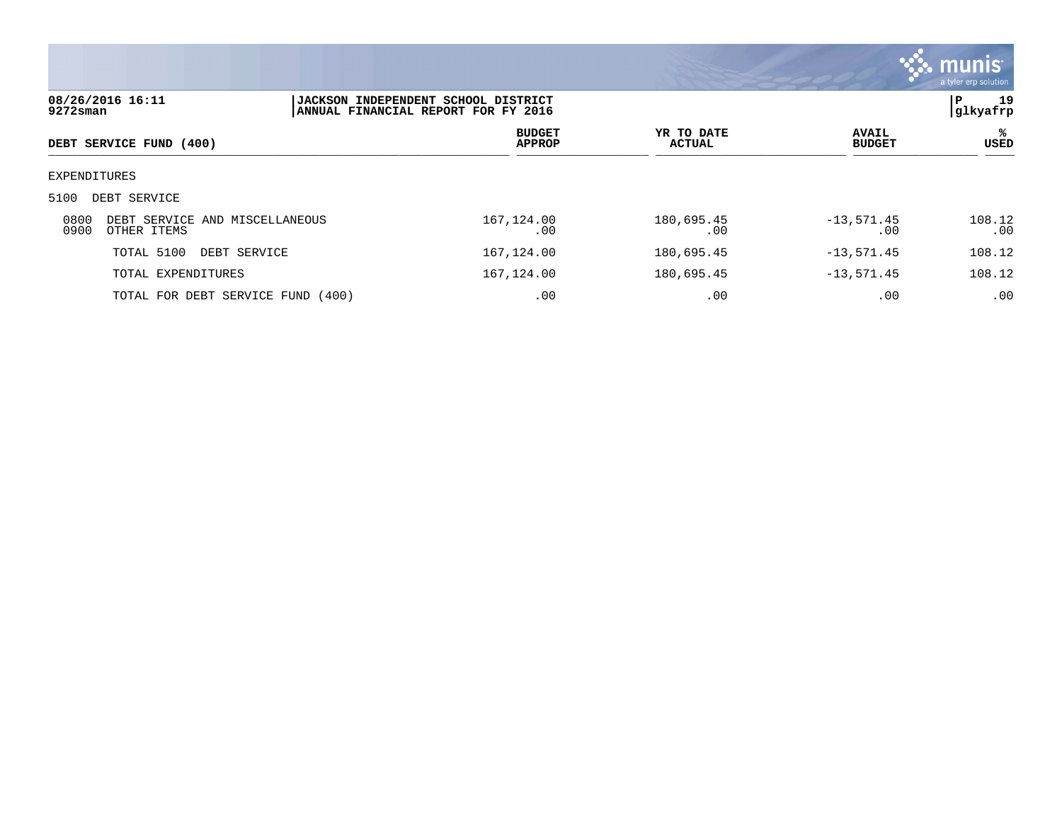

| 08/26/2016 16:11<br>$9272$ sman |                                               | <b>JACKSON INDEPENDENT SCHOOL DISTRICT</b><br>ANNUAL FINANCIAL REPORT FOR FY 2016 |                             |                               |               |  |
|---------------------------------|-----------------------------------------------|-----------------------------------------------------------------------------------|-----------------------------|-------------------------------|---------------|--|
|                                 | DEBT SERVICE FUND (400)                       | <b>BUDGET</b><br><b>APPROP</b>                                                    | YR TO DATE<br><b>ACTUAL</b> | <b>AVAIL</b><br><b>BUDGET</b> | %ะ<br>USED    |  |
| EXPENDITURES                    |                                               |                                                                                   |                             |                               |               |  |
| 5100                            | DEBT SERVICE                                  |                                                                                   |                             |                               |               |  |
| 0800<br>0900                    | DEBT SERVICE AND MISCELLANEOUS<br>OTHER ITEMS | 167,124.00<br>.00                                                                 | 180,695.45<br>.00           | $-13,571.45$<br>.00           | 108.12<br>.00 |  |
|                                 | TOTAL 5100<br>DEBT SERVICE                    | 167,124.00                                                                        | 180,695.45                  | $-13, 571.45$                 | 108.12        |  |
|                                 | TOTAL EXPENDITURES                            | 167,124.00                                                                        | 180,695.45                  | $-13,571.45$                  | 108.12        |  |
|                                 | TOTAL FOR DEBT SERVICE FUND (400)             | .00                                                                               | .00                         | .00                           | .00           |  |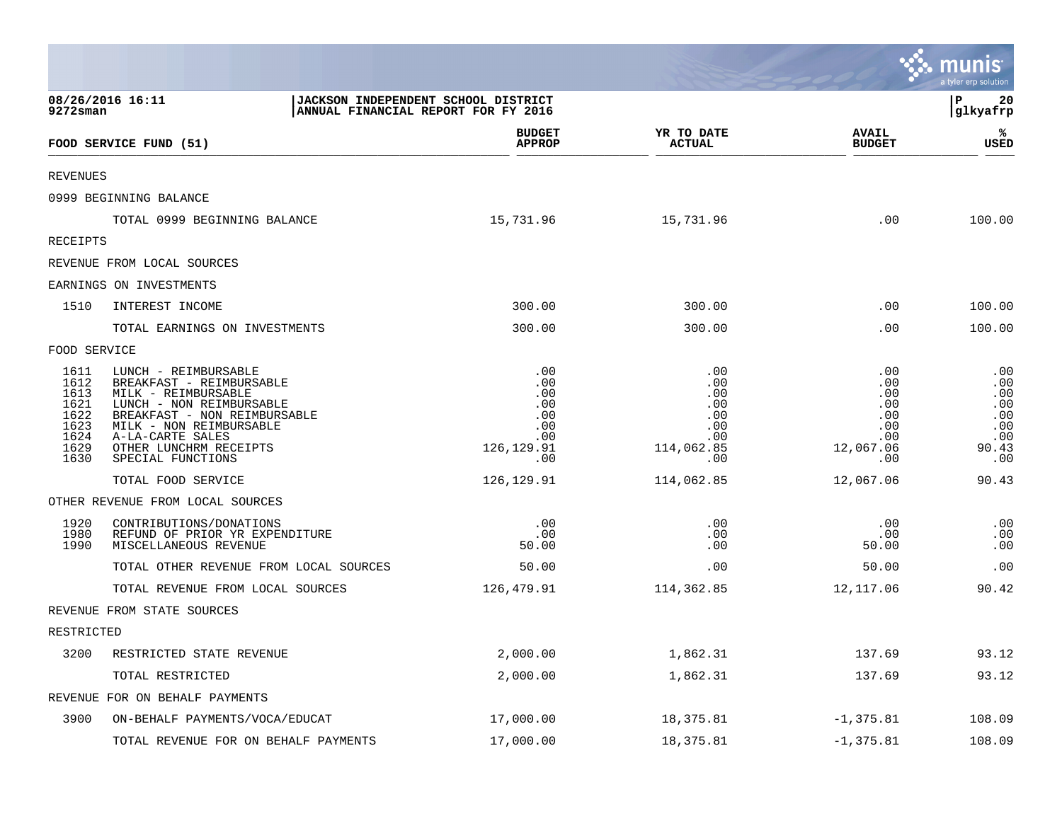|                                                                      |                                                                                                                                                                                                                                   |                                                                                |                                                                    |                                                                   | <b>W. munis</b><br>a tyler erp solution                       |
|----------------------------------------------------------------------|-----------------------------------------------------------------------------------------------------------------------------------------------------------------------------------------------------------------------------------|--------------------------------------------------------------------------------|--------------------------------------------------------------------|-------------------------------------------------------------------|---------------------------------------------------------------|
| $9272$ sman                                                          | 08/26/2016 16:11<br>JACKSON INDEPENDENT SCHOOL DISTRICT<br>ANNUAL FINANCIAL REPORT FOR FY 2016                                                                                                                                    |                                                                                |                                                                    |                                                                   | l P<br>20<br> glkyafrp                                        |
|                                                                      | FOOD SERVICE FUND (51)                                                                                                                                                                                                            | <b>BUDGET</b><br><b>APPROP</b>                                                 | YR TO DATE<br><b>ACTUAL</b>                                        | <b>AVAIL</b><br><b>BUDGET</b>                                     | ℁<br><b>USED</b>                                              |
| <b>REVENUES</b>                                                      |                                                                                                                                                                                                                                   |                                                                                |                                                                    |                                                                   |                                                               |
|                                                                      | 0999 BEGINNING BALANCE                                                                                                                                                                                                            |                                                                                |                                                                    |                                                                   |                                                               |
|                                                                      | TOTAL 0999 BEGINNING BALANCE                                                                                                                                                                                                      | 15,731.96                                                                      | 15,731.96                                                          | .00                                                               | 100.00                                                        |
| RECEIPTS                                                             |                                                                                                                                                                                                                                   |                                                                                |                                                                    |                                                                   |                                                               |
|                                                                      | REVENUE FROM LOCAL SOURCES                                                                                                                                                                                                        |                                                                                |                                                                    |                                                                   |                                                               |
|                                                                      | EARNINGS ON INVESTMENTS                                                                                                                                                                                                           |                                                                                |                                                                    |                                                                   |                                                               |
| 1510                                                                 | INTEREST INCOME                                                                                                                                                                                                                   | 300.00                                                                         | 300.00                                                             | .00                                                               | 100.00                                                        |
|                                                                      | TOTAL EARNINGS ON INVESTMENTS                                                                                                                                                                                                     | 300.00                                                                         | 300.00                                                             | .00                                                               | 100.00                                                        |
| FOOD SERVICE                                                         |                                                                                                                                                                                                                                   |                                                                                |                                                                    |                                                                   |                                                               |
| 1611<br>1612<br>1613<br>1621<br>1622<br>1623<br>1624<br>1629<br>1630 | LUNCH - REIMBURSABLE<br>BREAKFAST - REIMBURSABLE<br>MILK - REIMBURSABLE<br>LUNCH - NON REIMBURSABLE<br>BREAKFAST - NON REIMBURSABLE<br>MILK - NON REIMBURSABLE<br>A-LA-CARTE SALES<br>OTHER LUNCHRM RECEIPTS<br>SPECIAL FUNCTIONS | .00<br>.00<br>.00<br>.00.<br>.00<br>$.00 \,$<br>.00<br>126, 129.91<br>$.00 \,$ | .00<br>.00<br>.00<br>.00<br>.00<br>.00<br>.00<br>114,062.85<br>.00 | .00<br>.00<br>.00<br>.00<br>.00<br>.00<br>.00<br>12,067.06<br>.00 | .00<br>.00<br>.00<br>.00<br>.00<br>.00<br>.00<br>90.43<br>.00 |
|                                                                      | TOTAL FOOD SERVICE                                                                                                                                                                                                                | 126, 129.91                                                                    | 114,062.85                                                         | 12,067.06                                                         | 90.43                                                         |
|                                                                      | OTHER REVENUE FROM LOCAL SOURCES                                                                                                                                                                                                  |                                                                                |                                                                    |                                                                   |                                                               |
| 1920<br>1980<br>1990                                                 | CONTRIBUTIONS/DONATIONS<br>REFUND OF PRIOR YR EXPENDITURE<br>MISCELLANEOUS REVENUE                                                                                                                                                | .00<br>.00<br>50.00                                                            | .00<br>.00<br>.00                                                  | .00<br>.00<br>50.00                                               | .00<br>.00<br>.00                                             |
|                                                                      | TOTAL OTHER REVENUE FROM LOCAL SOURCES                                                                                                                                                                                            | 50.00                                                                          | .00                                                                | 50.00                                                             | .00                                                           |
|                                                                      | TOTAL REVENUE FROM LOCAL SOURCES                                                                                                                                                                                                  | 126,479.91                                                                     | 114,362.85                                                         | 12,117.06                                                         | 90.42                                                         |
|                                                                      | REVENUE FROM STATE SOURCES                                                                                                                                                                                                        |                                                                                |                                                                    |                                                                   |                                                               |
| RESTRICTED                                                           |                                                                                                                                                                                                                                   |                                                                                |                                                                    |                                                                   |                                                               |
| 3200                                                                 | RESTRICTED STATE REVENUE                                                                                                                                                                                                          | 2,000.00                                                                       | 1,862.31                                                           | 137.69                                                            | 93.12                                                         |
|                                                                      | TOTAL RESTRICTED                                                                                                                                                                                                                  | 2,000.00                                                                       | 1,862.31                                                           | 137.69                                                            | 93.12                                                         |
|                                                                      | REVENUE FOR ON BEHALF PAYMENTS                                                                                                                                                                                                    |                                                                                |                                                                    |                                                                   |                                                               |
| 3900                                                                 | ON-BEHALF PAYMENTS/VOCA/EDUCAT                                                                                                                                                                                                    | 17,000.00                                                                      | 18,375.81                                                          | $-1, 375.81$                                                      | 108.09                                                        |
|                                                                      | TOTAL REVENUE FOR ON BEHALF PAYMENTS                                                                                                                                                                                              | 17,000.00                                                                      | 18,375.81                                                          | $-1,375.81$                                                       | 108.09                                                        |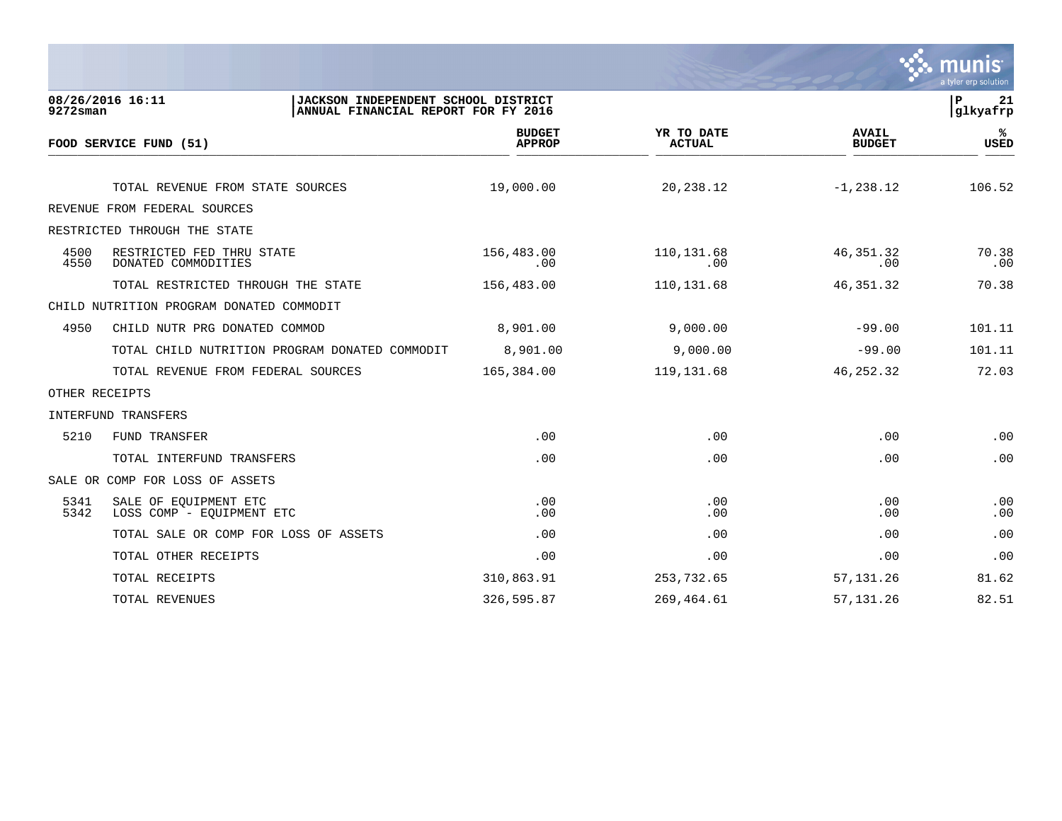

| $9272$ sman    | 08/26/2016 16:11                                   | JACKSON INDEPENDENT SCHOOL DISTRICT<br>ANNUAL FINANCIAL REPORT FOR FY 2016 |                                |                             |                               | P<br>21<br>glkyafrp |
|----------------|----------------------------------------------------|----------------------------------------------------------------------------|--------------------------------|-----------------------------|-------------------------------|---------------------|
|                | FOOD SERVICE FUND (51)                             |                                                                            | <b>BUDGET</b><br><b>APPROP</b> | YR TO DATE<br><b>ACTUAL</b> | <b>AVAIL</b><br><b>BUDGET</b> | %ะ<br><b>USED</b>   |
|                | TOTAL REVENUE FROM STATE SOURCES                   |                                                                            | 19,000.00                      | 20,238.12                   | $-1, 238.12$                  | 106.52              |
|                | REVENUE FROM FEDERAL SOURCES                       |                                                                            |                                |                             |                               |                     |
|                | RESTRICTED THROUGH THE STATE                       |                                                                            |                                |                             |                               |                     |
| 4500<br>4550   | RESTRICTED FED THRU STATE<br>DONATED COMMODITIES   |                                                                            | 156,483.00<br>.00              | 110, 131.68<br>.00          | 46,351.32<br>.00              | 70.38<br>.00        |
|                | TOTAL RESTRICTED THROUGH THE STATE                 |                                                                            | 156,483.00                     | 110,131.68                  | 46, 351. 32                   | 70.38               |
|                | CHILD NUTRITION PROGRAM DONATED COMMODIT           |                                                                            |                                |                             |                               |                     |
| 4950           | CHILD NUTR PRG DONATED COMMOD                      |                                                                            | 8,901.00                       | 9,000.00                    | $-99.00$                      | 101.11              |
|                | TOTAL CHILD NUTRITION PROGRAM DONATED COMMODIT     |                                                                            | 8,901.00                       | 9,000.00                    | $-99.00$                      | 101.11              |
|                | TOTAL REVENUE FROM FEDERAL SOURCES                 |                                                                            | 165,384.00                     | 119,131.68                  | 46, 252.32                    | 72.03               |
| OTHER RECEIPTS |                                                    |                                                                            |                                |                             |                               |                     |
|                | INTERFUND TRANSFERS                                |                                                                            |                                |                             |                               |                     |
| 5210           | FUND TRANSFER                                      |                                                                            | .00                            | .00                         | .00                           | .00                 |
|                | TOTAL INTERFUND TRANSFERS                          |                                                                            | .00                            | .00                         | .00                           | .00                 |
|                | SALE OR COMP FOR LOSS OF ASSETS                    |                                                                            |                                |                             |                               |                     |
| 5341<br>5342   | SALE OF EQUIPMENT ETC<br>LOSS COMP - EQUIPMENT ETC |                                                                            | .00<br>.00                     | .00<br>.00                  | .00<br>.00                    | .00<br>.00          |
|                | TOTAL SALE OR COMP FOR LOSS OF ASSETS              |                                                                            | .00                            | .00                         | .00                           | .00                 |
|                | TOTAL OTHER RECEIPTS                               |                                                                            | .00                            | .00                         | .00                           | .00                 |
|                | TOTAL RECEIPTS                                     |                                                                            | 310,863.91                     | 253,732.65                  | 57,131.26                     | 81.62               |
|                | <b>TOTAL REVENUES</b>                              |                                                                            | 326,595.87                     | 269, 464.61                 | 57, 131.26                    | 82.51               |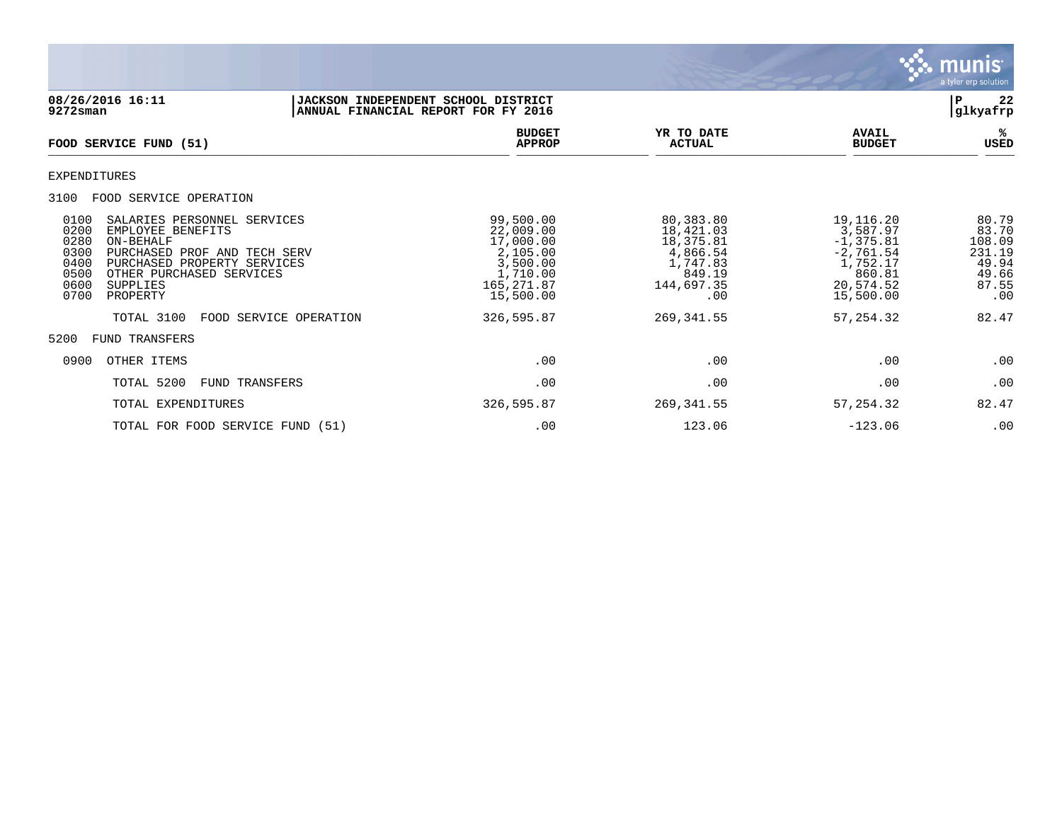

| 08/26/2016 16:11<br>9272sman                                                                                                                                                                                                                     |                        | JACKSON INDEPENDENT SCHOOL DISTRICT<br>ANNUAL FINANCIAL REPORT FOR FY 2016                         |                                                                                            |                                                                                                      | 22<br>ΙP<br> glkyafrp                                                |
|--------------------------------------------------------------------------------------------------------------------------------------------------------------------------------------------------------------------------------------------------|------------------------|----------------------------------------------------------------------------------------------------|--------------------------------------------------------------------------------------------|------------------------------------------------------------------------------------------------------|----------------------------------------------------------------------|
| FOOD SERVICE FUND (51)                                                                                                                                                                                                                           |                        | <b>BUDGET</b><br><b>APPROP</b>                                                                     | YR TO DATE<br><b>ACTUAL</b>                                                                | <b>AVAIL</b><br><b>BUDGET</b>                                                                        | %ะ<br>USED                                                           |
| EXPENDITURES                                                                                                                                                                                                                                     |                        |                                                                                                    |                                                                                            |                                                                                                      |                                                                      |
| 3100<br>FOOD SERVICE OPERATION                                                                                                                                                                                                                   |                        |                                                                                                    |                                                                                            |                                                                                                      |                                                                      |
| 0100<br>SALARIES PERSONNEL SERVICES<br>0200<br>EMPLOYEE BENEFITS<br>0280<br>ON-BEHALF<br>0300<br>PURCHASED PROF AND TECH SERV<br>0400<br>PURCHASED PROPERTY SERVICES<br>0500<br>OTHER PURCHASED SERVICES<br>0600<br>SUPPLIES<br>0700<br>PROPERTY |                        | 99,500.00<br>22,009.00<br>17,000.00<br>2,105.00<br>3,500.00<br>1,710.00<br>165,271.87<br>15,500.00 | 80,383.80<br>18,421.03<br>18,375.81<br>4,866.54<br>1,747.83<br>849.19<br>144,697.35<br>.00 | 19,116.20<br>3,587.97<br>$-1, 375.81$<br>$-2,761.54$<br>1,752.17<br>860.81<br>20,574.52<br>15,500.00 | 80.79<br>83.70<br>108.09<br>231.19<br>49.94<br>49.66<br>87.55<br>.00 |
| TOTAL 3100                                                                                                                                                                                                                                       | FOOD SERVICE OPERATION | 326,595.87                                                                                         | 269, 341.55                                                                                | 57, 254.32                                                                                           | 82.47                                                                |
| 5200<br>FUND TRANSFERS                                                                                                                                                                                                                           |                        |                                                                                                    |                                                                                            |                                                                                                      |                                                                      |
| 0900<br>OTHER ITEMS                                                                                                                                                                                                                              |                        | .00                                                                                                | .00                                                                                        | .00                                                                                                  | .00                                                                  |
| TOTAL 5200                                                                                                                                                                                                                                       | FUND TRANSFERS         | .00                                                                                                | .00                                                                                        | .00                                                                                                  | .00                                                                  |
| TOTAL EXPENDITURES                                                                                                                                                                                                                               |                        | 326,595.87                                                                                         | 269, 341.55                                                                                | 57, 254.32                                                                                           | 82.47                                                                |
| TOTAL FOR FOOD SERVICE FUND (51)                                                                                                                                                                                                                 |                        | .00                                                                                                | 123.06                                                                                     | $-123.06$                                                                                            | .00                                                                  |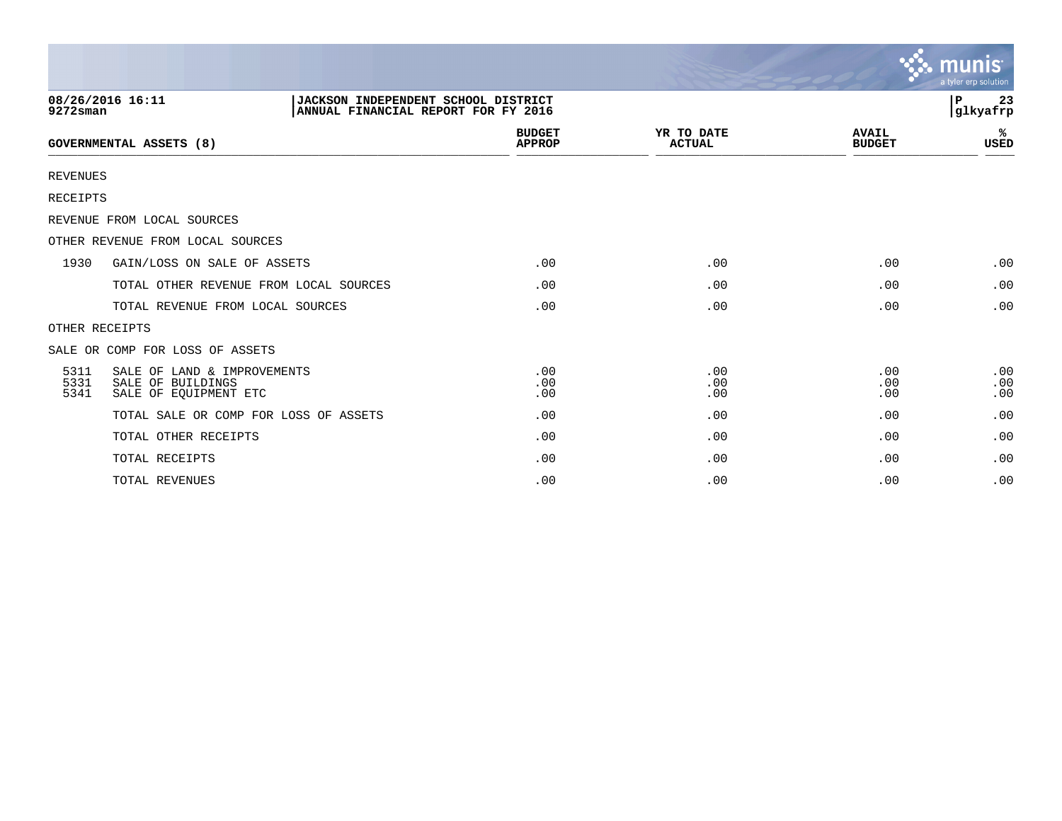|                      |                                                                           |                                                                            |                             |                               | <b>munis</b><br>a tyler erp solution |
|----------------------|---------------------------------------------------------------------------|----------------------------------------------------------------------------|-----------------------------|-------------------------------|--------------------------------------|
| $9272$ sman          | 08/26/2016 16:11                                                          | JACKSON INDEPENDENT SCHOOL DISTRICT<br>ANNUAL FINANCIAL REPORT FOR FY 2016 |                             |                               | P<br>23<br>glkyafrp                  |
|                      | <b>GOVERNMENTAL ASSETS (8)</b>                                            | <b>BUDGET</b><br><b>APPROP</b>                                             | YR TO DATE<br><b>ACTUAL</b> | <b>AVAIL</b><br><b>BUDGET</b> | ℁<br><b>USED</b>                     |
| <b>REVENUES</b>      |                                                                           |                                                                            |                             |                               |                                      |
| <b>RECEIPTS</b>      |                                                                           |                                                                            |                             |                               |                                      |
|                      | REVENUE FROM LOCAL SOURCES                                                |                                                                            |                             |                               |                                      |
|                      | OTHER REVENUE FROM LOCAL SOURCES                                          |                                                                            |                             |                               |                                      |
| 1930                 | GAIN/LOSS ON SALE OF ASSETS                                               | .00                                                                        | .00                         | .00                           | .00                                  |
|                      | TOTAL OTHER REVENUE FROM LOCAL SOURCES                                    | .00                                                                        | .00                         | .00                           | .00                                  |
|                      | TOTAL REVENUE FROM LOCAL SOURCES                                          | .00                                                                        | .00                         | .00                           | .00                                  |
|                      | OTHER RECEIPTS                                                            |                                                                            |                             |                               |                                      |
|                      | SALE OR COMP FOR LOSS OF ASSETS                                           |                                                                            |                             |                               |                                      |
| 5311<br>5331<br>5341 | SALE OF LAND & IMPROVEMENTS<br>SALE OF BUILDINGS<br>SALE OF EQUIPMENT ETC | .00<br>.00<br>.00                                                          | .00<br>.00<br>.00           | .00<br>.00<br>.00             | .00<br>.00<br>.00                    |
|                      | TOTAL SALE OR COMP FOR LOSS OF ASSETS                                     | .00                                                                        | .00                         | .00                           | .00                                  |
|                      | TOTAL OTHER RECEIPTS                                                      | .00                                                                        | .00                         | .00                           | .00                                  |
|                      | TOTAL RECEIPTS                                                            | .00                                                                        | .00                         | .00                           | .00                                  |
|                      | TOTAL REVENUES                                                            | .00                                                                        | .00                         | .00                           | .00                                  |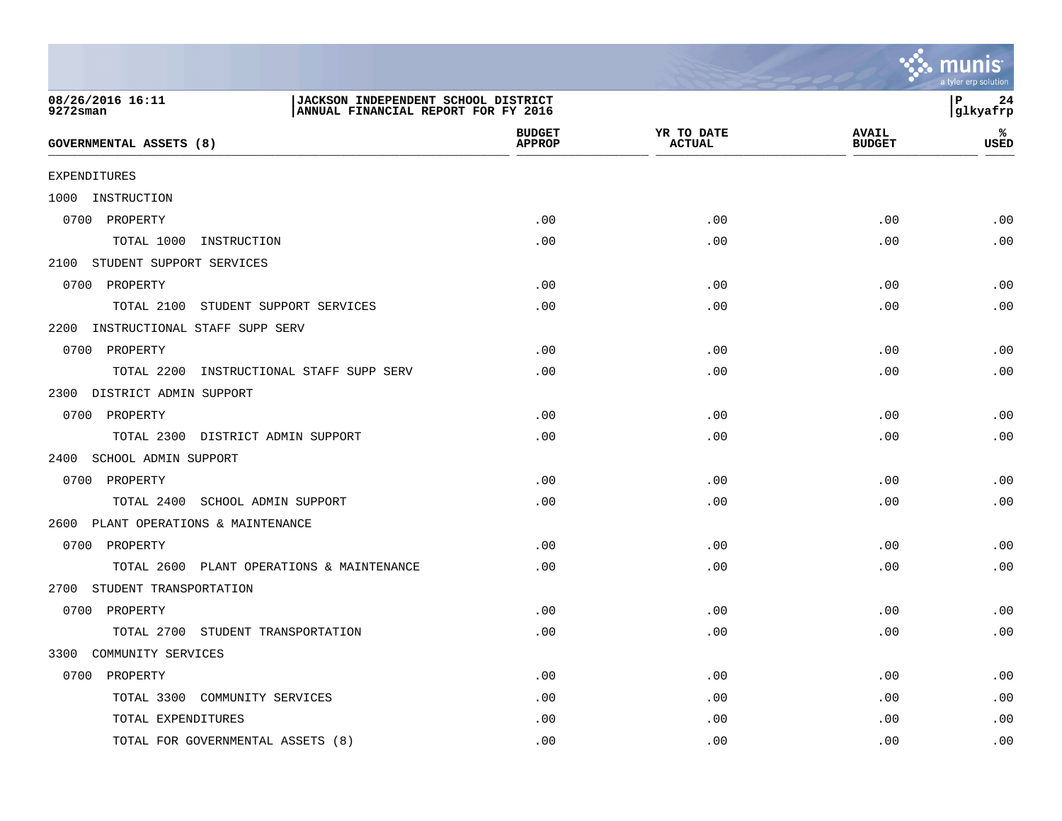

| 08/26/2016 16:11<br>JACKSON INDEPENDENT SCHOOL DISTRICT<br>ANNUAL FINANCIAL REPORT FOR FY 2016<br>9272sman |                                |                             |                               | l P<br>24<br>glkyafrp |
|------------------------------------------------------------------------------------------------------------|--------------------------------|-----------------------------|-------------------------------|-----------------------|
| <b>GOVERNMENTAL ASSETS (8)</b>                                                                             | <b>BUDGET</b><br><b>APPROP</b> | YR TO DATE<br><b>ACTUAL</b> | <b>AVAIL</b><br><b>BUDGET</b> | %ะ<br><b>USED</b>     |
| <b>EXPENDITURES</b>                                                                                        |                                |                             |                               |                       |
| 1000 INSTRUCTION                                                                                           |                                |                             |                               |                       |
| 0700 PROPERTY                                                                                              | .00                            | .00                         | .00                           | .00                   |
| TOTAL 1000 INSTRUCTION                                                                                     | .00                            | .00                         | .00                           | .00                   |
| 2100 STUDENT SUPPORT SERVICES                                                                              |                                |                             |                               |                       |
| 0700 PROPERTY                                                                                              | .00                            | .00                         | .00                           | .00                   |
| TOTAL 2100 STUDENT SUPPORT SERVICES                                                                        | .00                            | .00                         | .00                           | .00                   |
| 2200 INSTRUCTIONAL STAFF SUPP SERV                                                                         |                                |                             |                               |                       |
| 0700 PROPERTY                                                                                              | .00                            | .00                         | .00                           | .00                   |
| TOTAL 2200 INSTRUCTIONAL STAFF SUPP SERV                                                                   | .00                            | .00                         | .00                           | .00                   |
| 2300 DISTRICT ADMIN SUPPORT                                                                                |                                |                             |                               |                       |
| 0700 PROPERTY                                                                                              | .00                            | .00                         | .00                           | .00                   |
| TOTAL 2300 DISTRICT ADMIN SUPPORT                                                                          | .00                            | .00                         | .00                           | .00                   |
| 2400 SCHOOL ADMIN SUPPORT                                                                                  |                                |                             |                               |                       |
| 0700 PROPERTY                                                                                              | .00                            | .00                         | .00                           | .00                   |
| TOTAL 2400 SCHOOL ADMIN SUPPORT                                                                            | .00                            | .00                         | .00                           | .00                   |
| 2600 PLANT OPERATIONS & MAINTENANCE                                                                        |                                |                             |                               |                       |
| 0700 PROPERTY                                                                                              | .00                            | .00                         | .00                           | .00                   |
| TOTAL 2600 PLANT OPERATIONS & MAINTENANCE                                                                  | .00                            | .00                         | .00                           | .00                   |
| 2700 STUDENT TRANSPORTATION                                                                                |                                |                             |                               |                       |
| 0700 PROPERTY                                                                                              | .00                            | .00                         | .00                           | .00                   |
| TOTAL 2700 STUDENT TRANSPORTATION                                                                          | .00                            | .00                         | .00                           | .00                   |
| COMMUNITY SERVICES<br>3300                                                                                 |                                |                             |                               |                       |
| 0700 PROPERTY                                                                                              | .00                            | .00                         | .00                           | .00                   |
| TOTAL 3300 COMMUNITY SERVICES                                                                              | .00                            | .00                         | .00                           | .00                   |
| TOTAL EXPENDITURES                                                                                         | .00                            | .00                         | .00                           | .00                   |
| TOTAL FOR GOVERNMENTAL ASSETS (8)                                                                          | .00                            | .00                         | .00                           | .00                   |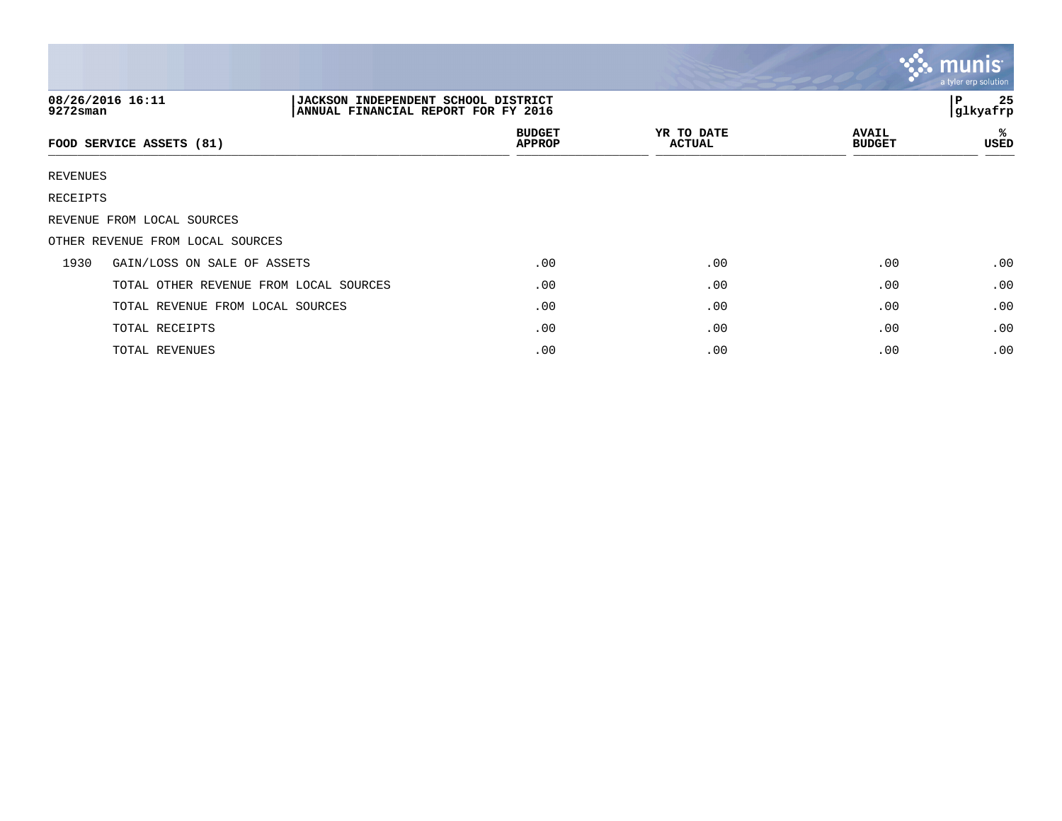|                                                                                                               |                                        |                                |                             |                               | munis<br>a tyler erp solution |  |  |
|---------------------------------------------------------------------------------------------------------------|----------------------------------------|--------------------------------|-----------------------------|-------------------------------|-------------------------------|--|--|
| 08/26/2016 16:11<br>JACKSON INDEPENDENT SCHOOL DISTRICT<br>$9272$ sman<br>ANNUAL FINANCIAL REPORT FOR FY 2016 |                                        |                                |                             |                               | 25<br>l P<br>glkyafrp         |  |  |
|                                                                                                               | FOOD SERVICE ASSETS (81)               | <b>BUDGET</b><br><b>APPROP</b> | YR TO DATE<br><b>ACTUAL</b> | <b>AVAIL</b><br><b>BUDGET</b> | ℁<br>USED                     |  |  |
| REVENUES                                                                                                      |                                        |                                |                             |                               |                               |  |  |
| RECEIPTS                                                                                                      |                                        |                                |                             |                               |                               |  |  |
|                                                                                                               | REVENUE FROM LOCAL SOURCES             |                                |                             |                               |                               |  |  |
|                                                                                                               | OTHER REVENUE FROM LOCAL SOURCES       |                                |                             |                               |                               |  |  |
| 1930                                                                                                          | GAIN/LOSS ON SALE OF ASSETS            | .00                            | .00                         | .00                           | .00                           |  |  |
|                                                                                                               | TOTAL OTHER REVENUE FROM LOCAL SOURCES | .00                            | .00                         | .00                           | .00                           |  |  |
|                                                                                                               | TOTAL REVENUE FROM LOCAL SOURCES       | .00                            | .00                         | .00                           | .00                           |  |  |
|                                                                                                               | TOTAL RECEIPTS                         | .00                            | .00                         | .00                           | .00                           |  |  |
|                                                                                                               | TOTAL REVENUES                         | .00                            | .00                         | .00                           | .00                           |  |  |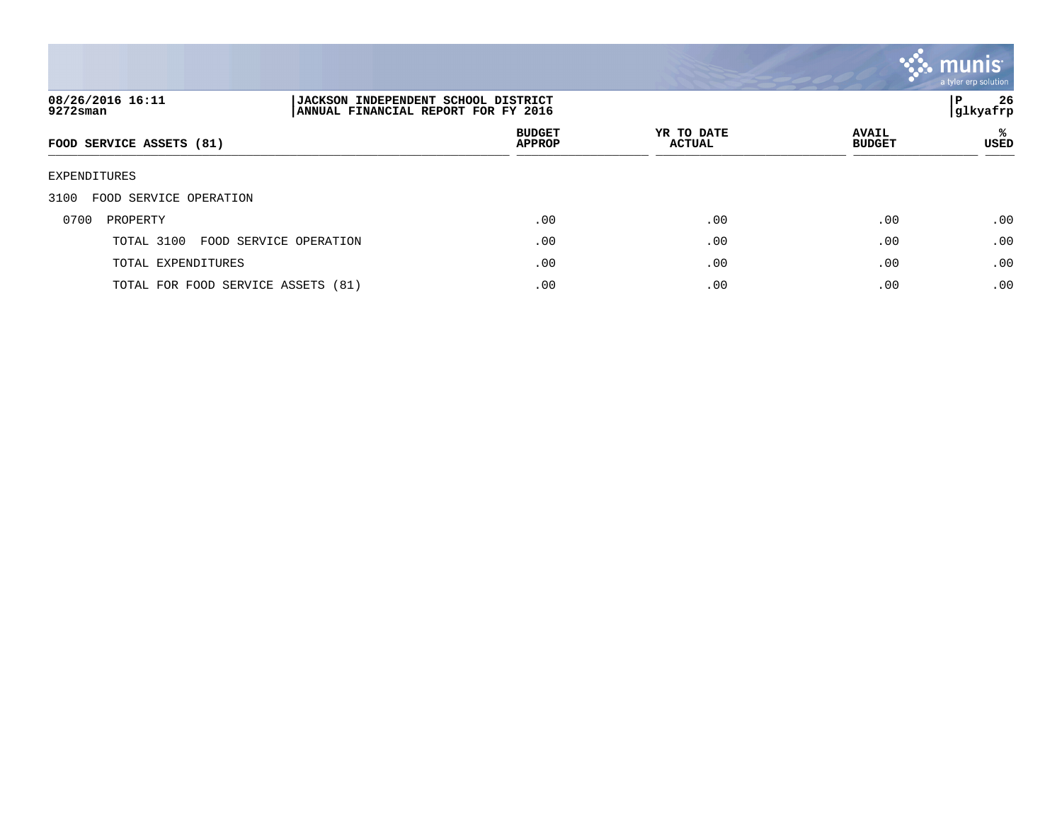

| 08/26/2016 16:11<br>9272sman         | P<br><b>JACKSON INDEPENDENT SCHOOL DISTRICT</b><br> glkyafrp<br>ANNUAL FINANCIAL REPORT FOR FY 2016 |                                |                             |                               |           |
|--------------------------------------|-----------------------------------------------------------------------------------------------------|--------------------------------|-----------------------------|-------------------------------|-----------|
| FOOD SERVICE ASSETS (81)             |                                                                                                     | <b>BUDGET</b><br><b>APPROP</b> | YR TO DATE<br><b>ACTUAL</b> | <b>AVAIL</b><br><b>BUDGET</b> | ℁<br>USED |
| EXPENDITURES                         |                                                                                                     |                                |                             |                               |           |
| FOOD SERVICE OPERATION<br>3100       |                                                                                                     |                                |                             |                               |           |
| 0700<br>PROPERTY                     |                                                                                                     | .00                            | .00                         | .00                           | .00       |
| TOTAL 3100<br>FOOD SERVICE OPERATION |                                                                                                     | .00                            | .00                         | .00                           | .00       |
| TOTAL EXPENDITURES                   |                                                                                                     | .00                            | .00                         | .00                           | .00       |
| TOTAL FOR FOOD SERVICE ASSETS (81)   |                                                                                                     | .00                            | .00                         | .00                           | .00       |